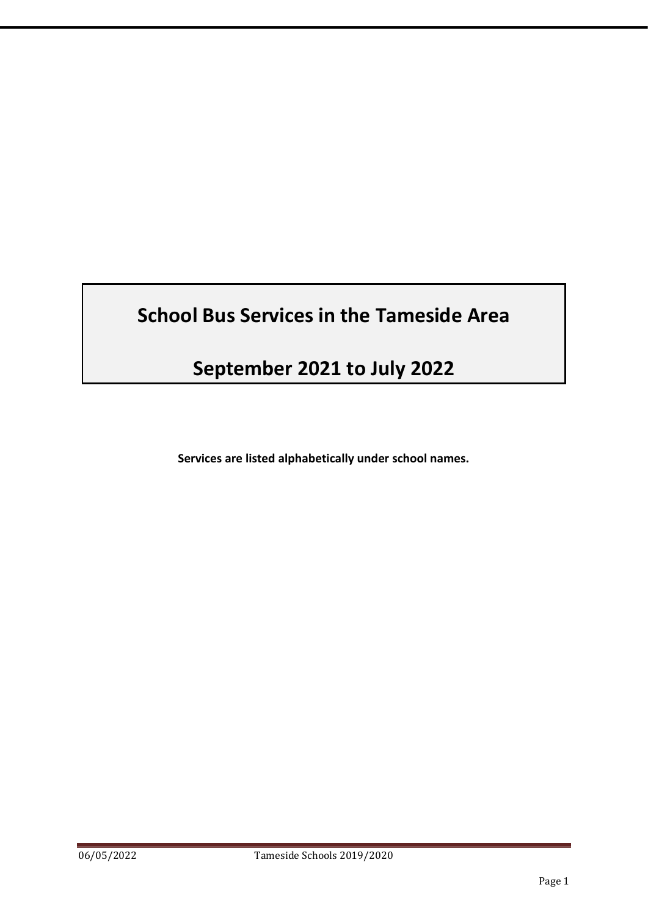# **School Bus Services in the Tameside Area**

# **September 2021 to July 2022**

**Services are listed alphabetically under school names.**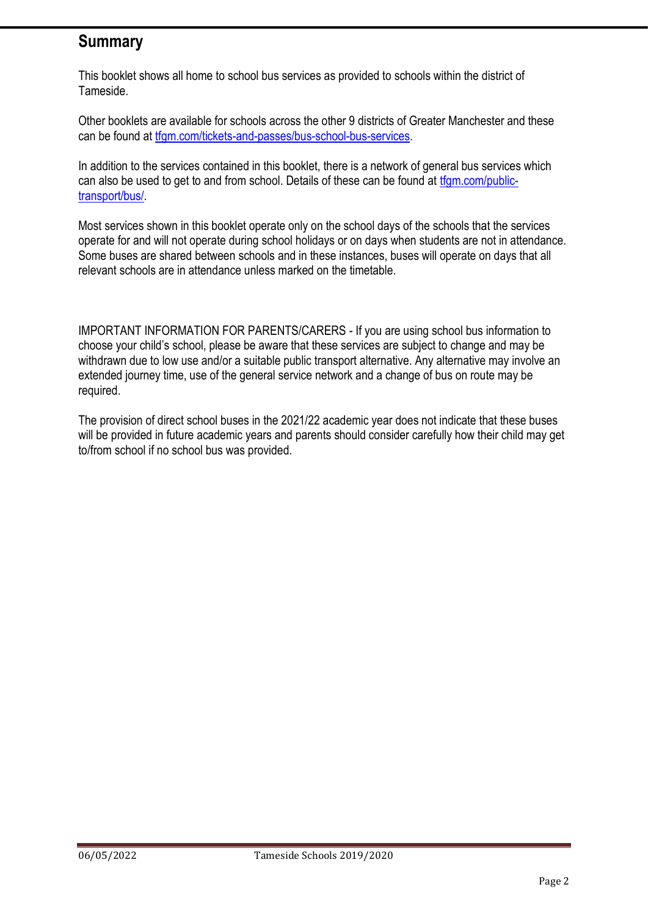# **Summary**

This booklet shows all home to school bus services as provided to schools within the district of Tameside.

Other booklets are available for schools across the other 9 districts of Greater Manchester and these can be found at [tfgm.com/tickets-and-passes/bus-school-bus-services.](https://tfgm.com/tickets-and-passes/bus-school-bus-services)

In addition to the services contained in this booklet, there is a network of general bus services which can also be used to get to and from school. Details of these can be found at [tfgm.com/public](https://tfgm.com/public-transport/bus/)[transport/bus/.](https://tfgm.com/public-transport/bus/)

Most services shown in this booklet operate only on the school days of the schools that the services operate for and will not operate during school holidays or on days when students are not in attendance. Some buses are shared between schools and in these instances, buses will operate on days that all relevant schools are in attendance unless marked on the timetable.

IMPORTANT INFORMATION FOR PARENTS/CARERS - If you are using school bus information to choose your child's school, please be aware that these services are subject to change and may be withdrawn due to low use and/or a suitable public transport alternative. Any alternative may involve an extended journey time, use of the general service network and a change of bus on route may be required.

The provision of direct school buses in the 2021/22 academic year does not indicate that these buses will be provided in future academic years and parents should consider carefully how their child may get to/from school if no school bus was provided.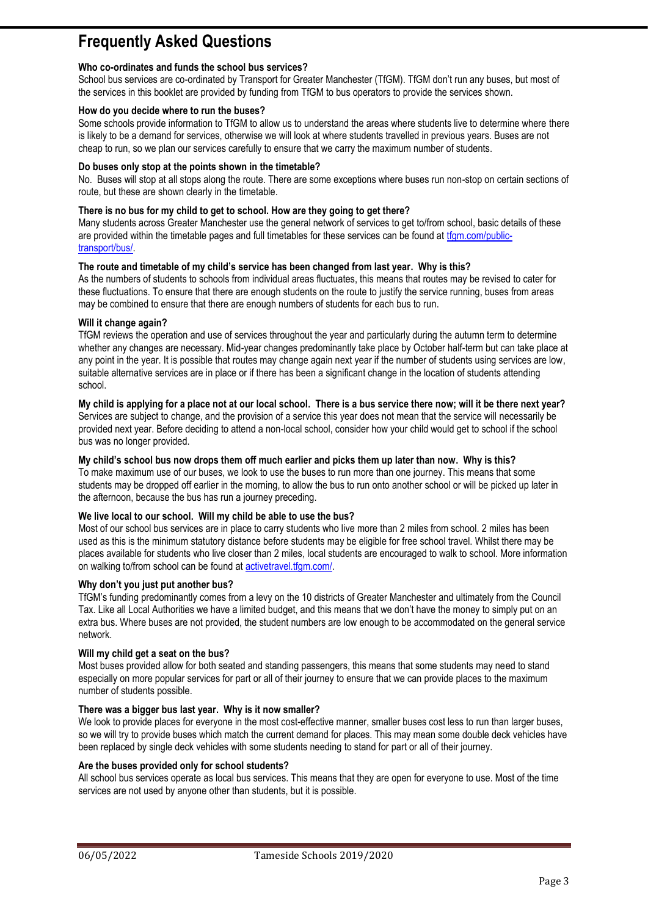# **Frequently Asked Questions**

### **Who co-ordinates and funds the school bus services?**

School bus services are co-ordinated by Transport for Greater Manchester (TfGM). TfGM don't run any buses, but most of the services in this booklet are provided by funding from TfGM to bus operators to provide the services shown.

### **How do you decide where to run the buses?**

Some schools provide information to TfGM to allow us to understand the areas where students live to determine where there is likely to be a demand for services, otherwise we will look at where students travelled in previous years. Buses are not cheap to run, so we plan our services carefully to ensure that we carry the maximum number of students.

### **Do buses only stop at the points shown in the timetable?**

No. Buses will stop at all stops along the route. There are some exceptions where buses run non-stop on certain sections of route, but these are shown clearly in the timetable.

### **There is no bus for my child to get to school. How are they going to get there?**

Many students across Greater Manchester use the general network of services to get to/from school, basic details of these are provided within the timetable pages and full timetables for these services can be found a[t tfgm.com/public](https://tfgm.com/public-transport/bus/)[transport/bus/.](https://tfgm.com/public-transport/bus/)

### **The route and timetable of my child's service has been changed from last year. Why is this?**

As the numbers of students to schools from individual areas fluctuates, this means that routes may be revised to cater for these fluctuations. To ensure that there are enough students on the route to justify the service running, buses from areas may be combined to ensure that there are enough numbers of students for each bus to run.

### **Will it change again?**

TfGM reviews the operation and use of services throughout the year and particularly during the autumn term to determine whether any changes are necessary. Mid-year changes predominantly take place by October half-term but can take place at any point in the year. It is possible that routes may change again next year if the number of students using services are low, suitable alternative services are in place or if there has been a significant change in the location of students attending school.

**My child is applying for a place not at our local school. There is a bus service there now; will it be there next year?** Services are subject to change, and the provision of a service this year does not mean that the service will necessarily be provided next year. Before deciding to attend a non-local school, consider how your child would get to school if the school bus was no longer provided.

### **My child's school bus now drops them off much earlier and picks them up later than now. Why is this?**

To make maximum use of our buses, we look to use the buses to run more than one journey. This means that some students may be dropped off earlier in the morning, to allow the bus to run onto another school or will be picked up later in the afternoon, because the bus has run a journey preceding.

### **We live local to our school. Will my child be able to use the bus?**

Most of our school bus services are in place to carry students who live more than 2 miles from school. 2 miles has been used as this is the minimum statutory distance before students may be eligible for free school travel. Whilst there may be places available for students who live closer than 2 miles, local students are encouraged to walk to school. More information on walking to/from school can be found at [activetravel.tfgm.com/.](https://activetravel.tfgm.com/)

### **Why don't you just put another bus?**

TfGM's funding predominantly comes from a levy on the 10 districts of Greater Manchester and ultimately from the Council Tax. Like all Local Authorities we have a limited budget, and this means that we don't have the money to simply put on an extra bus. Where buses are not provided, the student numbers are low enough to be accommodated on the general service network.

### **Will my child get a seat on the bus?**

Most buses provided allow for both seated and standing passengers, this means that some students may need to stand especially on more popular services for part or all of their journey to ensure that we can provide places to the maximum number of students possible.

### **There was a bigger bus last year. Why is it now smaller?**

We look to provide places for everyone in the most cost-effective manner, smaller buses cost less to run than larger buses, so we will try to provide buses which match the current demand for places. This may mean some double deck vehicles have been replaced by single deck vehicles with some students needing to stand for part or all of their journey.

### **Are the buses provided only for school students?**

All school bus services operate as local bus services. This means that they are open for everyone to use. Most of the time services are not used by anyone other than students, but it is possible.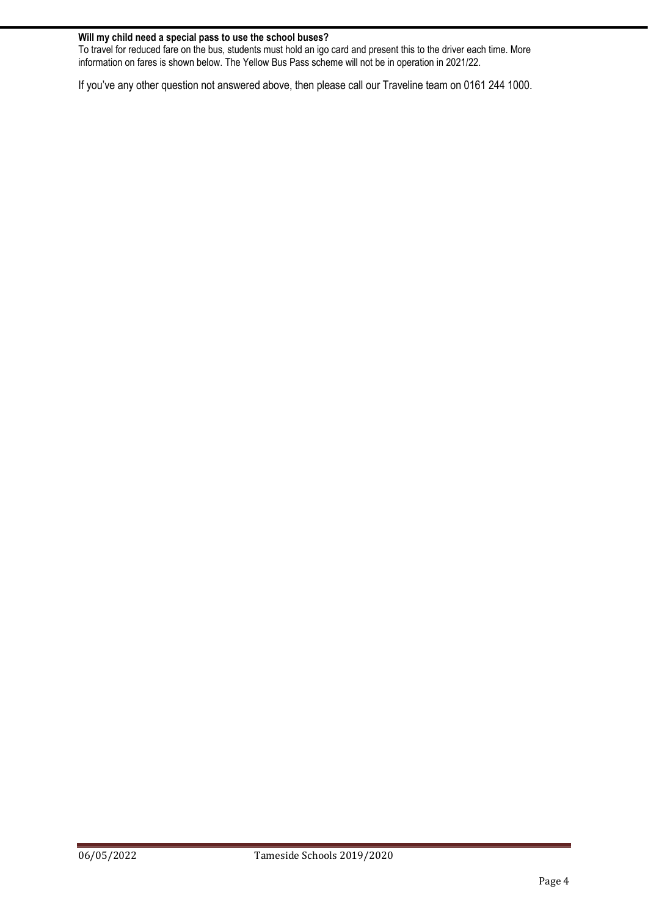### **Will my child need a special pass to use the school buses?**

To travel for reduced fare on the bus, students must hold an igo card and present this to the driver each time. More information on fares is shown below. The Yellow Bus Pass scheme will not be in operation in 2021/22.

If you've any other question not answered above, then please call our Traveline team on 0161 244 1000.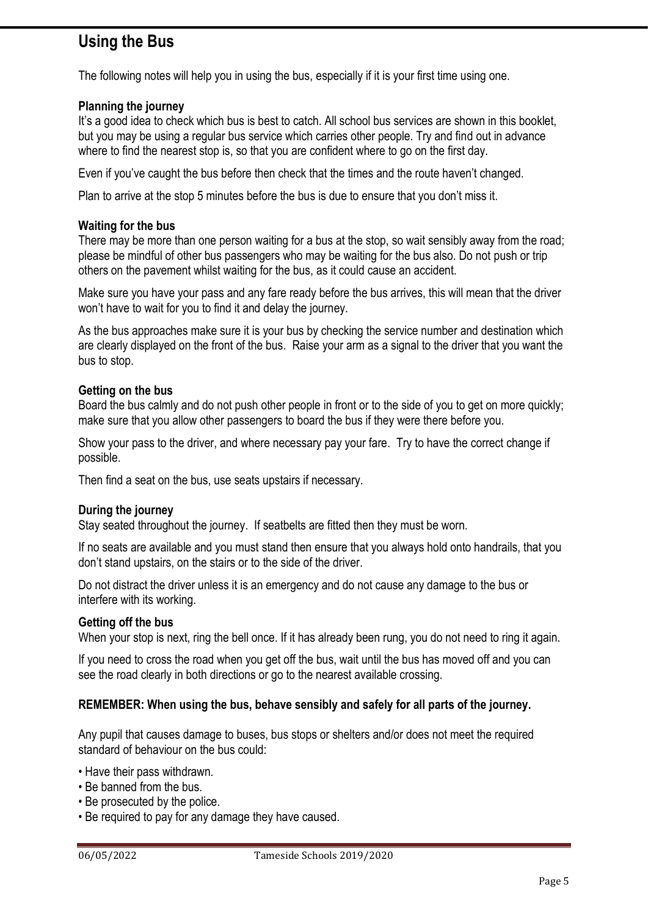# **Using the Bus**

The following notes will help you in using the bus, especially if it is your first time using one.

### **Planning the journey**

It's a good idea to check which bus is best to catch. All school bus services are shown in this booklet, but you may be using a regular bus service which carries other people. Try and find out in advance where to find the nearest stop is, so that you are confident where to go on the first day.

Even if you've caught the bus before then check that the times and the route haven't changed.

Plan to arrive at the stop 5 minutes before the bus is due to ensure that you don't miss it.

### **Waiting for the bus**

There may be more than one person waiting for a bus at the stop, so wait sensibly away from the road; please be mindful of other bus passengers who may be waiting for the bus also. Do not push or trip others on the pavement whilst waiting for the bus, as it could cause an accident.

Make sure you have your pass and any fare ready before the bus arrives, this will mean that the driver won't have to wait for you to find it and delay the journey.

As the bus approaches make sure it is your bus by checking the service number and destination which are clearly displayed on the front of the bus. Raise your arm as a signal to the driver that you want the bus to stop.

### **Getting on the bus**

Board the bus calmly and do not push other people in front or to the side of you to get on more quickly; make sure that you allow other passengers to board the bus if they were there before you.

Show your pass to the driver, and where necessary pay your fare. Try to have the correct change if possible.

Then find a seat on the bus, use seats upstairs if necessary.

### **During the journey**

Stay seated throughout the journey. If seatbelts are fitted then they must be worn.

If no seats are available and you must stand then ensure that you always hold onto handrails, that you don't stand upstairs, on the stairs or to the side of the driver.

Do not distract the driver unless it is an emergency and do not cause any damage to the bus or interfere with its working.

### **Getting off the bus**

When your stop is next, ring the bell once. If it has already been rung, you do not need to ring it again.

If you need to cross the road when you get off the bus, wait until the bus has moved off and you can see the road clearly in both directions or go to the nearest available crossing.

### **REMEMBER: When using the bus, behave sensibly and safely for all parts of the journey.**

Any pupil that causes damage to buses, bus stops or shelters and/or does not meet the required standard of behaviour on the bus could:

- Have their pass withdrawn.
- Be banned from the bus.
- Be prosecuted by the police.
- Be required to pay for any damage they have caused.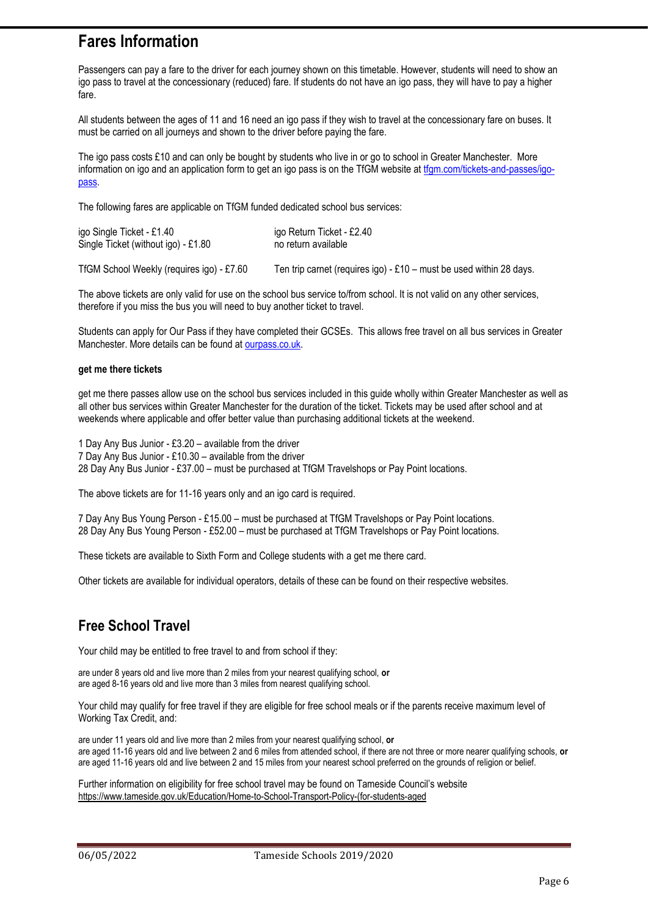# **Fares Information**

Passengers can pay a fare to the driver for each journey shown on this timetable. However, students will need to show an igo pass to travel at the concessionary (reduced) fare. If students do not have an igo pass, they will have to pay a higher fare.

All students between the ages of 11 and 16 need an igo pass if they wish to travel at the concessionary fare on buses. It must be carried on all journeys and shown to the driver before paying the fare.

The igo pass costs £10 and can only be bought by students who live in or go to school in Greater Manchester. More information on igo and an application form to get an igo pass is on the TfGM website at [tfgm.com/tickets-and-passes/igo](https://tfgm.com/tickets-and-passes/igo-pass)[pass.](https://tfgm.com/tickets-and-passes/igo-pass) 

The following fares are applicable on TfGM funded dedicated school bus services:

| igo Single Ticket - £1.40           | igo Return Ticket - £2.40 |
|-------------------------------------|---------------------------|
| Single Ticket (without igo) - £1.80 | no return available       |
|                                     |                           |

TfGM School Weekly (requires igo) - £7.60 Ten trip carnet (requires igo) - £10 – must be used within 28 days.

The above tickets are only valid for use on the school bus service to/from school. It is not valid on any other services, therefore if you miss the bus you will need to buy another ticket to travel.

Students can apply for Our Pass if they have completed their GCSEs. This allows free travel on all bus services in Greater Manchester. More details can be found at [ourpass.co.uk.](http://ourpass.co.uk/)

### **get me there tickets**

get me there passes allow use on the school bus services included in this guide wholly within Greater Manchester as well as all other bus services within Greater Manchester for the duration of the ticket. Tickets may be used after school and at weekends where applicable and offer better value than purchasing additional tickets at the weekend.

1 Day Any Bus Junior - £3.20 – available from the driver 7 Day Any Bus Junior - £10.30 – available from the driver 28 Day Any Bus Junior - £37.00 – must be purchased at TfGM Travelshops or Pay Point locations.

The above tickets are for 11-16 years only and an igo card is required.

7 Day Any Bus Young Person - £15.00 – must be purchased at TfGM Travelshops or Pay Point locations. 28 Day Any Bus Young Person - £52.00 – must be purchased at TfGM Travelshops or Pay Point locations.

These tickets are available to Sixth Form and College students with a get me there card.

Other tickets are available for individual operators, details of these can be found on their respective websites.

# **Free School Travel**

Your child may be entitled to free travel to and from school if they:

are under 8 years old and live more than 2 miles from your nearest qualifying school, **or** are aged 8-16 years old and live more than 3 miles from nearest qualifying school.

Your child may qualify for free travel if they are eligible for free school meals or if the parents receive maximum level of Working Tax Credit, and:

are under 11 years old and live more than 2 miles from your nearest qualifying school, **or** are aged 11-16 years old and live between 2 and 6 miles from attended school, if there are not three or more nearer qualifying schools, **or** are aged 11-16 years old and live between 2 and 15 miles from your nearest school preferred on the grounds of religion or belief.

Further information on eligibility for free school travel may be found on Tameside Council's website https://www.tameside.gov.uk/Education/Home-to-School-Transport-Policy-(for-students-aged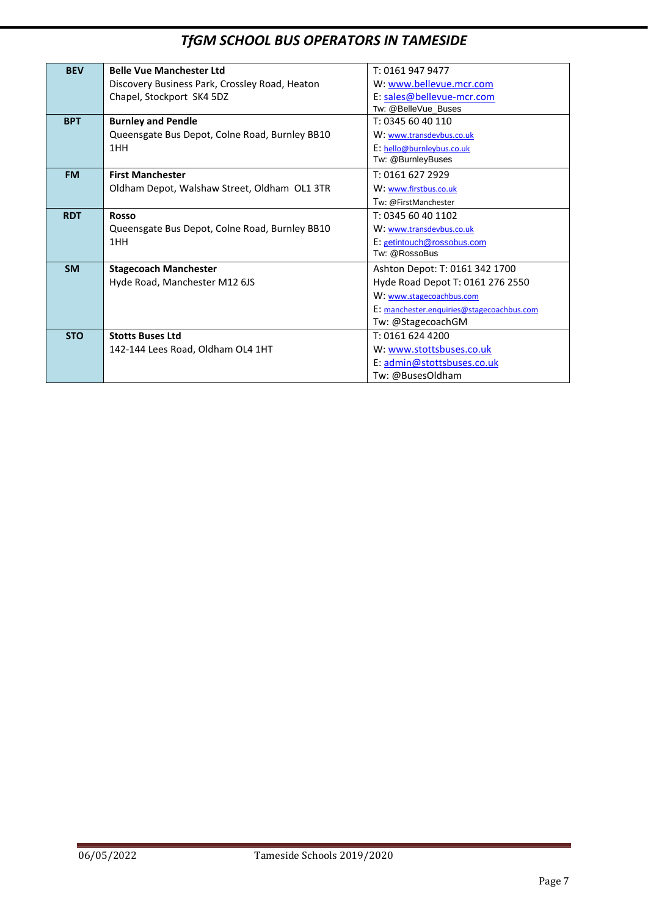# *TfGM SCHOOL BUS OPERATORS IN TAMESIDE*

| <b>BEV</b><br><b>Belle Vue Manchester Ltd</b><br>T: 0161 947 9477<br>W: www.bellevue.mcr.com<br>Discovery Business Park, Crossley Road, Heaton<br>E: sales@bellevue-mcr.com<br>Chapel, Stockport SK4 5DZ<br>Tw: @BelleVue_Buses<br><b>Burnley and Pendle</b><br>T: 0345 60 40 110<br><b>BPT</b><br>Queensgate Bus Depot, Colne Road, Burnley BB10<br>W: www.transdevbus.co.uk<br>1HH<br>E: hello@burnleybus.co.uk<br>Tw: @BurnleyBuses<br><b>First Manchester</b><br><b>FM</b><br>T: 0161 627 2929<br>Oldham Depot, Walshaw Street, Oldham OL1 3TR<br>W: www.firstbus.co.uk<br>Tw: @FirstManchester<br><b>RDT</b><br>T: 0345 60 40 1102<br><b>Rosso</b><br>Queensgate Bus Depot, Colne Road, Burnley BB10<br>W: www.transdevbus.co.uk<br>1HH<br>E: getintouch@rossobus.com<br>Tw: @RossoBus<br><b>SM</b><br><b>Stagecoach Manchester</b><br>Ashton Depot: T: 0161 342 1700<br>Hyde Road, Manchester M12 6JS<br>Hyde Road Depot T: 0161 276 2550<br>W: www.stagecoachbus.com<br>E: manchester.enguiries@stagecoachbus.com<br>Tw: @StagecoachGM<br><b>STO</b><br><b>Stotts Buses Ltd</b><br>T: 0161 624 4200<br>142-144 Lees Road, Oldham OL4 1HT<br>W: www.stottsbuses.co.uk |  |  |
|-----------------------------------------------------------------------------------------------------------------------------------------------------------------------------------------------------------------------------------------------------------------------------------------------------------------------------------------------------------------------------------------------------------------------------------------------------------------------------------------------------------------------------------------------------------------------------------------------------------------------------------------------------------------------------------------------------------------------------------------------------------------------------------------------------------------------------------------------------------------------------------------------------------------------------------------------------------------------------------------------------------------------------------------------------------------------------------------------------------------------------------------------------------------------------|--|--|
|                                                                                                                                                                                                                                                                                                                                                                                                                                                                                                                                                                                                                                                                                                                                                                                                                                                                                                                                                                                                                                                                                                                                                                             |  |  |
|                                                                                                                                                                                                                                                                                                                                                                                                                                                                                                                                                                                                                                                                                                                                                                                                                                                                                                                                                                                                                                                                                                                                                                             |  |  |
|                                                                                                                                                                                                                                                                                                                                                                                                                                                                                                                                                                                                                                                                                                                                                                                                                                                                                                                                                                                                                                                                                                                                                                             |  |  |
|                                                                                                                                                                                                                                                                                                                                                                                                                                                                                                                                                                                                                                                                                                                                                                                                                                                                                                                                                                                                                                                                                                                                                                             |  |  |
|                                                                                                                                                                                                                                                                                                                                                                                                                                                                                                                                                                                                                                                                                                                                                                                                                                                                                                                                                                                                                                                                                                                                                                             |  |  |
|                                                                                                                                                                                                                                                                                                                                                                                                                                                                                                                                                                                                                                                                                                                                                                                                                                                                                                                                                                                                                                                                                                                                                                             |  |  |
|                                                                                                                                                                                                                                                                                                                                                                                                                                                                                                                                                                                                                                                                                                                                                                                                                                                                                                                                                                                                                                                                                                                                                                             |  |  |
|                                                                                                                                                                                                                                                                                                                                                                                                                                                                                                                                                                                                                                                                                                                                                                                                                                                                                                                                                                                                                                                                                                                                                                             |  |  |
|                                                                                                                                                                                                                                                                                                                                                                                                                                                                                                                                                                                                                                                                                                                                                                                                                                                                                                                                                                                                                                                                                                                                                                             |  |  |
|                                                                                                                                                                                                                                                                                                                                                                                                                                                                                                                                                                                                                                                                                                                                                                                                                                                                                                                                                                                                                                                                                                                                                                             |  |  |
|                                                                                                                                                                                                                                                                                                                                                                                                                                                                                                                                                                                                                                                                                                                                                                                                                                                                                                                                                                                                                                                                                                                                                                             |  |  |
|                                                                                                                                                                                                                                                                                                                                                                                                                                                                                                                                                                                                                                                                                                                                                                                                                                                                                                                                                                                                                                                                                                                                                                             |  |  |
|                                                                                                                                                                                                                                                                                                                                                                                                                                                                                                                                                                                                                                                                                                                                                                                                                                                                                                                                                                                                                                                                                                                                                                             |  |  |
|                                                                                                                                                                                                                                                                                                                                                                                                                                                                                                                                                                                                                                                                                                                                                                                                                                                                                                                                                                                                                                                                                                                                                                             |  |  |
|                                                                                                                                                                                                                                                                                                                                                                                                                                                                                                                                                                                                                                                                                                                                                                                                                                                                                                                                                                                                                                                                                                                                                                             |  |  |
|                                                                                                                                                                                                                                                                                                                                                                                                                                                                                                                                                                                                                                                                                                                                                                                                                                                                                                                                                                                                                                                                                                                                                                             |  |  |
|                                                                                                                                                                                                                                                                                                                                                                                                                                                                                                                                                                                                                                                                                                                                                                                                                                                                                                                                                                                                                                                                                                                                                                             |  |  |
|                                                                                                                                                                                                                                                                                                                                                                                                                                                                                                                                                                                                                                                                                                                                                                                                                                                                                                                                                                                                                                                                                                                                                                             |  |  |
|                                                                                                                                                                                                                                                                                                                                                                                                                                                                                                                                                                                                                                                                                                                                                                                                                                                                                                                                                                                                                                                                                                                                                                             |  |  |
|                                                                                                                                                                                                                                                                                                                                                                                                                                                                                                                                                                                                                                                                                                                                                                                                                                                                                                                                                                                                                                                                                                                                                                             |  |  |
|                                                                                                                                                                                                                                                                                                                                                                                                                                                                                                                                                                                                                                                                                                                                                                                                                                                                                                                                                                                                                                                                                                                                                                             |  |  |
|                                                                                                                                                                                                                                                                                                                                                                                                                                                                                                                                                                                                                                                                                                                                                                                                                                                                                                                                                                                                                                                                                                                                                                             |  |  |
| E: admin@stottsbuses.co.uk                                                                                                                                                                                                                                                                                                                                                                                                                                                                                                                                                                                                                                                                                                                                                                                                                                                                                                                                                                                                                                                                                                                                                  |  |  |
| Tw: @BusesOldham                                                                                                                                                                                                                                                                                                                                                                                                                                                                                                                                                                                                                                                                                                                                                                                                                                                                                                                                                                                                                                                                                                                                                            |  |  |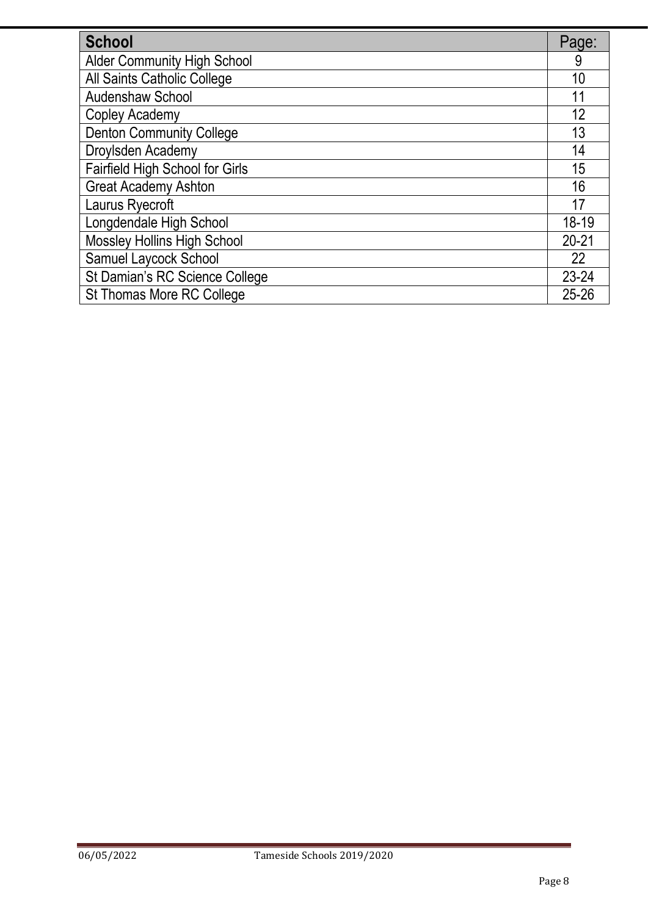| School                             | Page:     |
|------------------------------------|-----------|
| <b>Alder Community High School</b> | 9         |
| All Saints Catholic College        | 10        |
| <b>Audenshaw School</b>            | 11        |
| Copley Academy                     | 12        |
| <b>Denton Community College</b>    | 13        |
| Droylsden Academy                  | 14        |
| Fairfield High School for Girls    | 15        |
| <b>Great Academy Ashton</b>        | 16        |
| Laurus Ryecroft                    | 17        |
| Longdendale High School            | 18-19     |
| <b>Mossley Hollins High School</b> | $20 - 21$ |
| Samuel Laycock School              | 22        |
| St Damian's RC Science College     | 23-24     |
| <b>St Thomas More RC College</b>   | $25 - 26$ |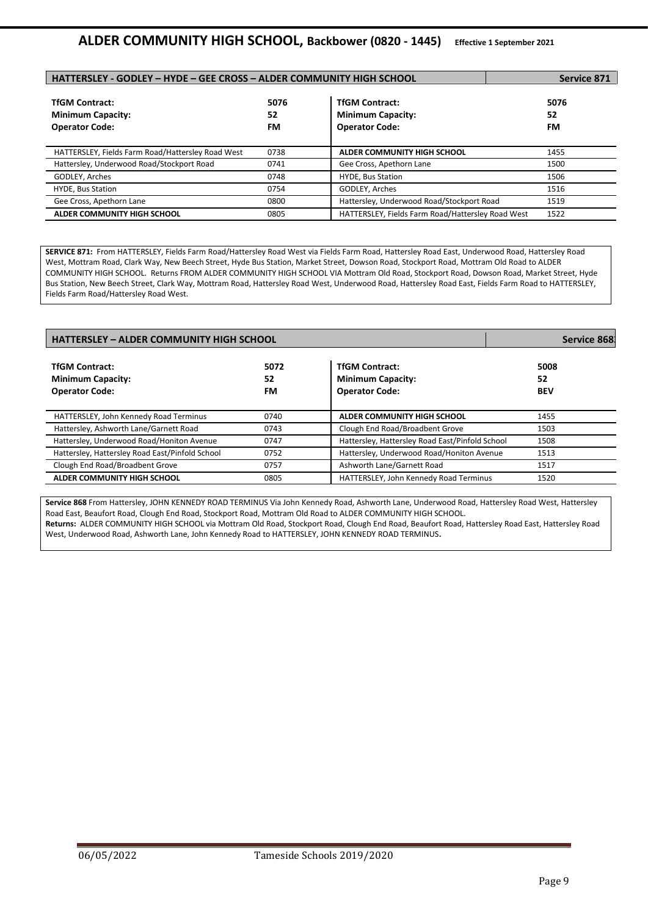| HATTERSLEY - GODLEY - HYDE - GEE CROSS - ALDER COMMUNITY HIGH SCHOOL       |                  |                                                                            | Service 871      |
|----------------------------------------------------------------------------|------------------|----------------------------------------------------------------------------|------------------|
| <b>TfGM Contract:</b><br><b>Minimum Capacity:</b><br><b>Operator Code:</b> | 5076<br>52<br>FM | <b>TfGM Contract:</b><br><b>Minimum Capacity:</b><br><b>Operator Code:</b> | 5076<br>52<br>FM |
| HATTERSLEY, Fields Farm Road/Hattersley Road West                          | 0738             | ALDER COMMUNITY HIGH SCHOOL                                                | 1455             |
| Hattersley, Underwood Road/Stockport Road                                  | 0741             | Gee Cross, Apethorn Lane                                                   | 1500             |
| GODLEY, Arches                                                             | 0748             | <b>HYDE, Bus Station</b>                                                   | 1506             |
| HYDE, Bus Station                                                          | 0754             | GODLEY, Arches                                                             | 1516             |
| Gee Cross, Apethorn Lane                                                   | 0800             | Hattersley, Underwood Road/Stockport Road                                  | 1519             |
| ALDER COMMUNITY HIGH SCHOOL                                                | 0805             | HATTERSLEY, Fields Farm Road/Hattersley Road West                          | 1522             |

**SERVICE 871:** From HATTERSLEY, Fields Farm Road/Hattersley Road West via Fields Farm Road, Hattersley Road East, Underwood Road, Hattersley Road West, Mottram Road, Clark Way, New Beech Street, Hyde Bus Station, Market Street, Dowson Road, Stockport Road, Mottram Old Road to ALDER COMMUNITY HIGH SCHOOL. Returns FROM ALDER COMMUNITY HIGH SCHOOL VIA Mottram Old Road, Stockport Road, Dowson Road, Market Street, Hyde Bus Station, New Beech Street, Clark Way, Mottram Road, Hattersley Road West, Underwood Road, Hattersley Road East, Fields Farm Road to HATTERSLEY, Fields Farm Road/Hattersley Road West.

| <b>HATTERSLEY - ALDER COMMUNITY HIGH SCHOOL</b>                            |                  | Service 868                                                                |                          |
|----------------------------------------------------------------------------|------------------|----------------------------------------------------------------------------|--------------------------|
| <b>TfGM Contract:</b><br><b>Minimum Capacity:</b><br><b>Operator Code:</b> | 5072<br>52<br>FM | <b>TfGM Contract:</b><br><b>Minimum Capacity:</b><br><b>Operator Code:</b> | 5008<br>52<br><b>BEV</b> |
| HATTERSLEY, John Kennedy Road Terminus                                     | 0740             | ALDER COMMUNITY HIGH SCHOOL                                                | 1455                     |
| Hattersley, Ashworth Lane/Garnett Road                                     | 0743             | Clough End Road/Broadbent Grove                                            | 1503                     |
| Hattersley, Underwood Road/Honiton Avenue                                  | 0747             | Hattersley, Hattersley Road East/Pinfold School                            | 1508                     |
| Hattersley, Hattersley Road East/Pinfold School                            | 0752             | Hattersley, Underwood Road/Honiton Avenue                                  | 1513                     |
| Clough End Road/Broadbent Grove                                            | 0757             | Ashworth Lane/Garnett Road                                                 | 1517                     |
| ALDER COMMUNITY HIGH SCHOOL                                                | 0805             | HATTERSLEY, John Kennedy Road Terminus                                     | 1520                     |

**Service 868** From Hattersley, JOHN KENNEDY ROAD TERMINUS Via John Kennedy Road, Ashworth Lane, Underwood Road, Hattersley Road West, Hattersley Road East, Beaufort Road, Clough End Road, Stockport Road, Mottram Old Road to ALDER COMMUNITY HIGH SCHOOL. **Returns:** ALDER COMMUNITY HIGH SCHOOL via Mottram Old Road, Stockport Road, Clough End Road, Beaufort Road, Hattersley Road East, Hattersley Road West, Underwood Road, Ashworth Lane, John Kennedy Road to HATTERSLEY, JOHN KENNEDY ROAD TERMINUS**.**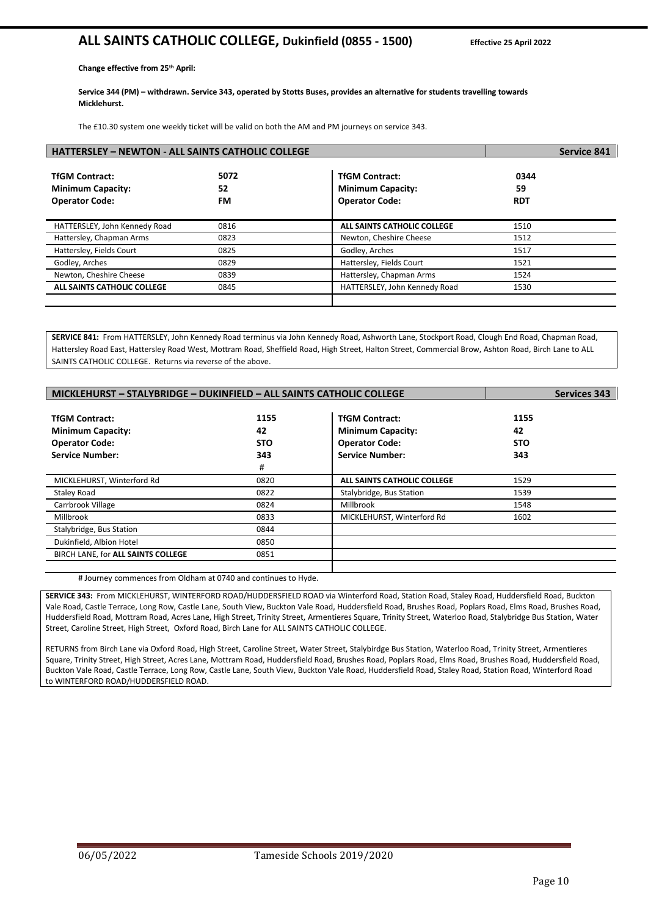# **ALL SAINTS CATHOLIC COLLEGE, Dukinfield (0855 - 1500) Effective 25 April 2022**

**Change effective from 25th April:**

**Service 344 (PM) – withdrawn. Service 343, operated by Stotts Buses, provides an alternative for students travelling towards Micklehurst.**

The £10.30 system one weekly ticket will be valid on both the AM and PM journeys on service 343.

| <b>HATTERSLEY - NEWTON - ALL SAINTS CATHOLIC COLLEGE</b>                   |                  |                                                                            | <b>Service 841</b>       |
|----------------------------------------------------------------------------|------------------|----------------------------------------------------------------------------|--------------------------|
| <b>TfGM Contract:</b><br><b>Minimum Capacity:</b><br><b>Operator Code:</b> | 5072<br>52<br>FM | <b>TfGM Contract:</b><br><b>Minimum Capacity:</b><br><b>Operator Code:</b> | 0344<br>59<br><b>RDT</b> |
| HATTERSLEY, John Kennedy Road                                              | 0816             | ALL SAINTS CATHOLIC COLLEGE                                                | 1510                     |
| Hattersley, Chapman Arms                                                   | 0823             | Newton, Cheshire Cheese                                                    | 1512                     |
| Hattersley, Fields Court                                                   | 0825             | Godley, Arches                                                             | 1517                     |
| Godley, Arches                                                             | 0829             | Hattersley, Fields Court                                                   | 1521                     |
| Newton, Cheshire Cheese                                                    | 0839             | Hattersley, Chapman Arms                                                   | 1524                     |
| <b>ALL SAINTS CATHOLIC COLLEGE</b>                                         | 0845             | HATTERSLEY, John Kennedy Road                                              | 1530                     |
|                                                                            |                  |                                                                            |                          |

**SERVICE 841:** From HATTERSLEY, John Kennedy Road terminus via John Kennedy Road, Ashworth Lane, Stockport Road, Clough End Road, Chapman Road, Hattersley Road East, Hattersley Road West, Mottram Road, Sheffield Road, High Street, Halton Street, Commercial Brow, Ashton Road, Birch Lane to ALL SAINTS CATHOLIC COLLEGE. Returns via reverse of the above.

| MICKLEHURST - STALYBRIDGE - DUKINFIELD - ALL SAINTS CATHOLIC COLLEGE | <b>Services 343</b> |                             |            |
|----------------------------------------------------------------------|---------------------|-----------------------------|------------|
|                                                                      |                     |                             |            |
| <b>TfGM Contract:</b>                                                | 1155                | <b>TfGM Contract:</b>       | 1155       |
| <b>Minimum Capacity:</b>                                             | 42                  | <b>Minimum Capacity:</b>    | 42         |
| <b>Operator Code:</b>                                                | <b>STO</b>          | <b>Operator Code:</b>       | <b>STO</b> |
| <b>Service Number:</b>                                               | 343                 | <b>Service Number:</b>      | 343        |
|                                                                      | #                   |                             |            |
| MICKLEHURST, Winterford Rd                                           | 0820                | ALL SAINTS CATHOLIC COLLEGE | 1529       |
| <b>Staley Road</b>                                                   | 0822                | Stalybridge, Bus Station    | 1539       |
| Carrbrook Village                                                    | 0824                | Millbrook                   | 1548       |
| Millbrook                                                            | 0833                | MICKLEHURST, Winterford Rd  | 1602       |
| Stalybridge, Bus Station                                             | 0844                |                             |            |
| Dukinfield, Albion Hotel                                             | 0850                |                             |            |
| BIRCH LANE, for ALL SAINTS COLLEGE                                   | 0851                |                             |            |
|                                                                      |                     |                             |            |

# Journey commences from Oldham at 0740 and continues to Hyde.

**SERVICE 343:** From MICKLEHURST, WINTERFORD ROAD/HUDDERSFIELD ROAD via Winterford Road, Station Road, Staley Road, Huddersfield Road, Buckton Vale Road, Castle Terrace, Long Row, Castle Lane, South View, Buckton Vale Road, Huddersfield Road, Brushes Road, Poplars Road, Elms Road, Brushes Road, Huddersfield Road, Mottram Road, Acres Lane, High Street, Trinity Street, Armentieres Square, Trinity Street, Waterloo Road, Stalybridge Bus Station, Water Street, Caroline Street, High Street, Oxford Road, Birch Lane for ALL SAINTS CATHOLIC COLLEGE.

RETURNS from Birch Lane via Oxford Road, High Street, Caroline Street, Water Street, Stalybirdge Bus Station, Waterloo Road, Trinity Street, Armentieres Square, Trinity Street, High Street, Acres Lane, Mottram Road, Huddersfield Road, Brushes Road, Poplars Road, Elms Road, Brushes Road, Huddersfield Road, Buckton Vale Road, Castle Terrace, Long Row, Castle Lane, South View, Buckton Vale Road, Huddersfield Road, Staley Road, Station Road, Winterford Road to WINTERFORD ROAD/HUDDERSFIELD ROAD.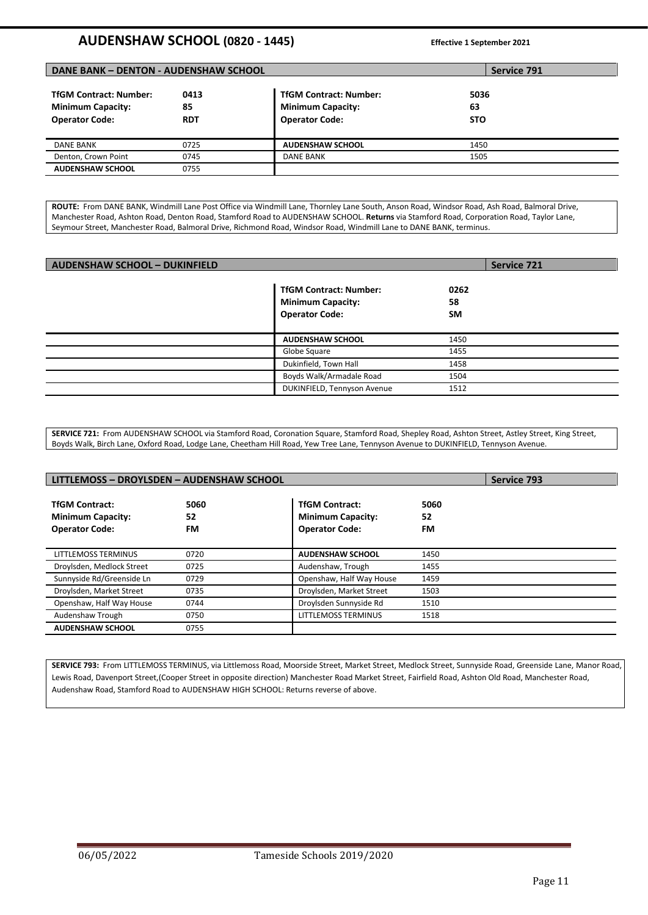# **AUDENSHAW SCHOOL (0820 - 1445) Effective 1 September <sup>2021</sup>**

| <b>DANE BANK - DENTON - AUDENSHAW SCHOOL</b><br>Service 791 |            |                               |            |  |
|-------------------------------------------------------------|------------|-------------------------------|------------|--|
| <b>TfGM Contract: Number:</b>                               | 0413       | <b>TfGM Contract: Number:</b> | 5036       |  |
| <b>Minimum Capacity:</b>                                    | 85         | <b>Minimum Capacity:</b>      | 63         |  |
| <b>Operator Code:</b>                                       | <b>RDT</b> | <b>Operator Code:</b>         | <b>STO</b> |  |
| <b>DANE BANK</b>                                            | 0725       | <b>AUDENSHAW SCHOOL</b>       | 1450       |  |
| Denton, Crown Point                                         | 0745       | <b>DANE BANK</b>              | 1505       |  |
| <b>AUDENSHAW SCHOOL</b>                                     | 0755       |                               |            |  |

**ROUTE:** From DANE BANK, Windmill Lane Post Office via Windmill Lane, Thornley Lane South, Anson Road, Windsor Road, Ash Road, Balmoral Drive, Manchester Road, Ashton Road, Denton Road, Stamford Road to AUDENSHAW SCHOOL. **Returns** via Stamford Road, Corporation Road, Taylor Lane, Seymour Street, Manchester Road, Balmoral Drive, Richmond Road, Windsor Road, Windmill Lane to DANE BANK, terminus.

| <b>AUDENSHAW SCHOOL - DUKINFIELD</b> |                                                                                    |                         | <b>Service 721</b> |
|--------------------------------------|------------------------------------------------------------------------------------|-------------------------|--------------------|
|                                      | <b>TfGM Contract: Number:</b><br><b>Minimum Capacity:</b><br><b>Operator Code:</b> | 0262<br>58<br><b>SM</b> |                    |
|                                      | <b>AUDENSHAW SCHOOL</b>                                                            | 1450                    |                    |
|                                      | Globe Square                                                                       | 1455                    |                    |
|                                      | Dukinfield, Town Hall                                                              | 1458                    |                    |
|                                      | Boyds Walk/Armadale Road                                                           | 1504                    |                    |
|                                      | DUKINFIELD, Tennyson Avenue                                                        | 1512                    |                    |

**SERVICE 721:** From AUDENSHAW SCHOOL via Stamford Road, Coronation Square, Stamford Road, Shepley Road, Ashton Street, Astley Street, King Street, Boyds Walk, Birch Lane, Oxford Road, Lodge Lane, Cheetham Hill Road, Yew Tree Lane, Tennyson Avenue to DUKINFIELD, Tennyson Avenue.

| LITTLEMOSS - DROYLSDEN - AUDENSHAW SCHOOL<br><b>Service 793</b>            |                  |                                                                            |                  |  |
|----------------------------------------------------------------------------|------------------|----------------------------------------------------------------------------|------------------|--|
| <b>TfGM Contract:</b><br><b>Minimum Capacity:</b><br><b>Operator Code:</b> | 5060<br>52<br>FM | <b>TfGM Contract:</b><br><b>Minimum Capacity:</b><br><b>Operator Code:</b> | 5060<br>52<br>FM |  |
| <b>LITTLEMOSS TERMINUS</b>                                                 | 0720             | <b>AUDENSHAW SCHOOL</b>                                                    | 1450             |  |
| Droylsden, Medlock Street                                                  | 0725             | Audenshaw, Trough                                                          | 1455             |  |
| Sunnyside Rd/Greenside Ln                                                  | 0729             | Openshaw, Half Way House                                                   | 1459             |  |
| Droylsden, Market Street                                                   | 0735             | Droylsden, Market Street                                                   | 1503             |  |
| Openshaw, Half Way House                                                   | 0744             | Droylsden Sunnyside Rd                                                     | 1510             |  |
| Audenshaw Trough                                                           | 0750             | <b>LITTLEMOSS TERMINUS</b>                                                 | 1518             |  |
| <b>AUDENSHAW SCHOOL</b>                                                    | 0755             |                                                                            |                  |  |

**SERVICE 793:** From LITTLEMOSS TERMINUS, via Littlemoss Road, Moorside Street, Market Street, Medlock Street, Sunnyside Road, Greenside Lane, Manor Road, Lewis Road, Davenport Street,(Cooper Street in opposite direction) Manchester Road Market Street, Fairfield Road, Ashton Old Road, Manchester Road, Audenshaw Road, Stamford Road to AUDENSHAW HIGH SCHOOL: Returns reverse of above.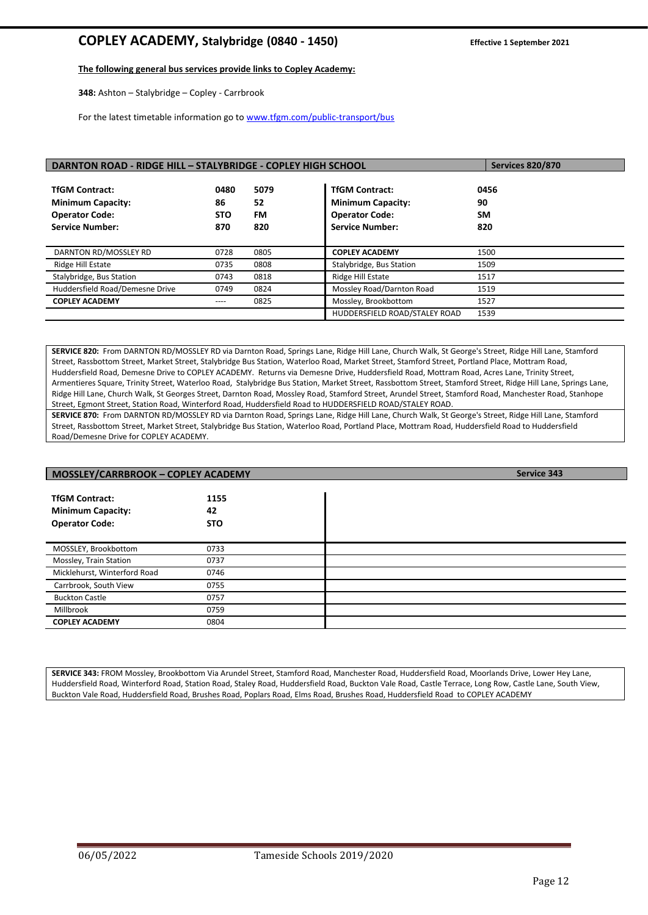# **COPLEY ACADEMY, Stalybridge (0840 - 1450) Effective 1 September <sup>2021</sup>**

#### **The following general bus services provide links to Copley Academy:**

**348:** Ashton – Stalybridge – Copley - Carrbrook

For the latest timetable information go t[o www.tfgm.com/public-transport/bus](http://www.tfgm.com/public-transport/bus)

| DARNTON ROAD - RIDGE HILL - STALYBRIDGE - COPLEY HIGH SCHOOL |            |      |                               | <b>Services 820/870</b> |
|--------------------------------------------------------------|------------|------|-------------------------------|-------------------------|
|                                                              |            |      |                               |                         |
| <b>TfGM Contract:</b>                                        | 0480       | 5079 | <b>TfGM Contract:</b>         | 0456                    |
| <b>Minimum Capacity:</b>                                     | 86         | 52   | <b>Minimum Capacity:</b>      | 90                      |
| <b>Operator Code:</b>                                        | <b>STO</b> | FM.  | <b>Operator Code:</b>         | <b>SM</b>               |
| <b>Service Number:</b>                                       | 870        | 820  | <b>Service Number:</b>        | 820                     |
|                                                              |            |      |                               |                         |
| DARNTON RD/MOSSLEY RD                                        | 0728       | 0805 | <b>COPLEY ACADEMY</b>         | 1500                    |
| Ridge Hill Estate                                            | 0735       | 0808 | Stalybridge, Bus Station      | 1509                    |
| Stalybridge, Bus Station                                     | 0743       | 0818 | Ridge Hill Estate             | 1517                    |
| Huddersfield Road/Demesne Drive                              | 0749       | 0824 | Mossley Road/Darnton Road     | 1519                    |
| <b>COPLEY ACADEMY</b>                                        | ----       | 0825 | Mossley, Brookbottom          | 1527                    |
|                                                              |            |      | HUDDERSFIELD ROAD/STALEY ROAD | 1539                    |

**SERVICE 820:** From DARNTON RD/MOSSLEY RD via Darnton Road, Springs Lane, Ridge Hill Lane, Church Walk, St George's Street, Ridge Hill Lane, Stamford Street, Rassbottom Street, Market Street, Stalybridge Bus Station, Waterloo Road, Market Street, Stamford Street, Portland Place, Mottram Road, Huddersfield Road, Demesne Drive to COPLEY ACADEMY. Returns via Demesne Drive, Huddersfield Road, Mottram Road, Acres Lane, Trinity Street, Armentieres Square, Trinity Street, Waterloo Road, Stalybridge Bus Station, Market Street, Rassbottom Street, Stamford Street, Ridge Hill Lane, Springs Lane, Ridge Hill Lane, Church Walk, St Georges Street, Darnton Road, Mossley Road, Stamford Street, Arundel Street, Stamford Road, Manchester Road, Stanhope Street, Egmont Street, Station Road, Winterford Road, Huddersfield Road to HUDDERSFIELD ROAD/STALEY ROAD.

**SERVICE 870:** From DARNTON RD/MOSSLEY RD via Darnton Road, Springs Lane, Ridge Hill Lane, Church Walk, St George's Street, Ridge Hill Lane, Stamford Street, Rassbottom Street, Market Street, Stalybridge Bus Station, Waterloo Road, Portland Place, Mottram Road, Huddersfield Road to Huddersfield Road/Demesne Drive for COPLEY ACADEMY.

| MOSSLEY/CARRBROOK - COPLEY ACADEMY                                         |                          | Service 343 |
|----------------------------------------------------------------------------|--------------------------|-------------|
| <b>TfGM Contract:</b><br><b>Minimum Capacity:</b><br><b>Operator Code:</b> | 1155<br>42<br><b>STO</b> |             |
| MOSSLEY, Brookbottom                                                       | 0733                     |             |
| Mossley, Train Station                                                     | 0737                     |             |
| Micklehurst, Winterford Road                                               | 0746                     |             |
| Carrbrook, South View                                                      | 0755                     |             |
| <b>Buckton Castle</b>                                                      | 0757                     |             |
| Millbrook                                                                  | 0759                     |             |
| <b>COPLEY ACADEMY</b>                                                      | 0804                     |             |

**SERVICE 343:** FROM Mossley, Brookbottom Via Arundel Street, Stamford Road, Manchester Road, Huddersfield Road, Moorlands Drive, Lower Hey Lane, Huddersfield Road, Winterford Road, Station Road, Staley Road, Huddersfield Road, Buckton Vale Road, Castle Terrace, Long Row, Castle Lane, South View, Buckton Vale Road, Huddersfield Road, Brushes Road, Poplars Road, Elms Road, Brushes Road, Huddersfield Road to COPLEY ACADEMY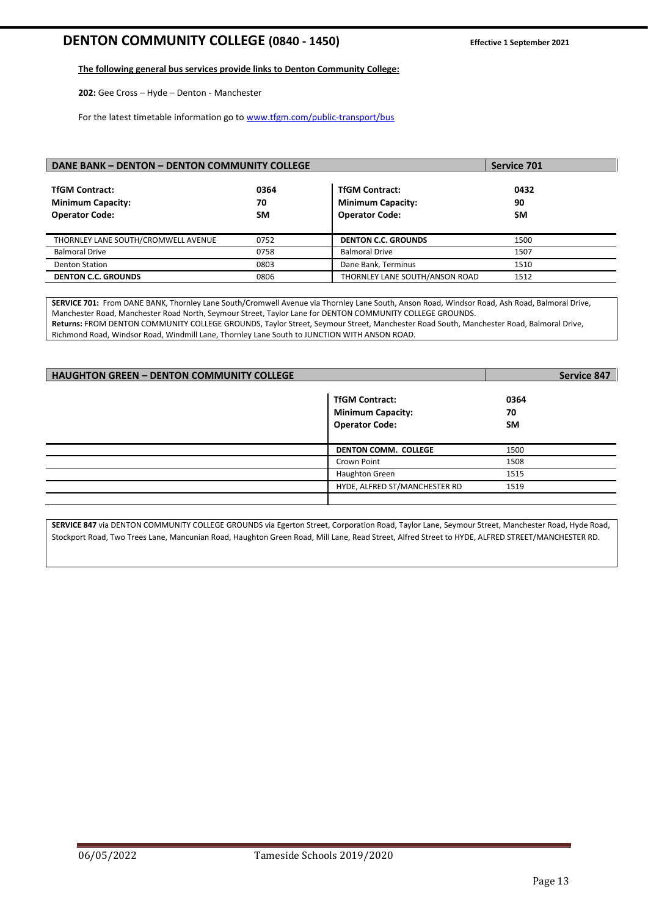# **DENTON COMMUNITY COLLEGE (0840 - 1450) Effective 1 September <sup>2021</sup>**

#### **The following general bus services provide links to Denton Community College:**

**202:** Gee Cross – Hyde – Denton - Manchester

For the latest timetable information go t[o www.tfgm.com/public-transport/bus](http://www.tfgm.com/public-transport/bus)

| DANE BANK - DENTON - DENTON COMMUNITY COLLEGE                              | Service 701             |                                                                            |                         |
|----------------------------------------------------------------------------|-------------------------|----------------------------------------------------------------------------|-------------------------|
| <b>TfGM Contract:</b><br><b>Minimum Capacity:</b><br><b>Operator Code:</b> | 0364<br>70<br><b>SM</b> | <b>TfGM Contract:</b><br><b>Minimum Capacity:</b><br><b>Operator Code:</b> | 0432<br>90<br><b>SM</b> |
| THORNLEY LANE SOUTH/CROMWELL AVENUE                                        | 0752                    | <b>DENTON C.C. GROUNDS</b>                                                 | 1500                    |
| <b>Balmoral Drive</b>                                                      | 0758                    | <b>Balmoral Drive</b>                                                      | 1507                    |
| <b>Denton Station</b>                                                      | 0803                    | Dane Bank, Terminus                                                        | 1510                    |
| <b>DENTON C.C. GROUNDS</b>                                                 | 0806                    | THORNLEY LANE SOUTH/ANSON ROAD                                             | 1512                    |

**SERVICE 701:** From DANE BANK, Thornley Lane South/Cromwell Avenue via Thornley Lane South, Anson Road, Windsor Road, Ash Road, Balmoral Drive, Manchester Road, Manchester Road North, Seymour Street, Taylor Lane for DENTON COMMUNITY COLLEGE GROUNDS. **Returns:** FROM DENTON COMMUNITY COLLEGE GROUNDS, Taylor Street, Seymour Street, Manchester Road South, Manchester Road, Balmoral Drive, Richmond Road, Windsor Road, Windmill Lane, Thornley Lane South to JUNCTION WITH ANSON ROAD.

| <b>HAUGHTON GREEN - DENTON COMMUNITY COLLEGE</b> | <b>Service 847</b>                                                         |                         |
|--------------------------------------------------|----------------------------------------------------------------------------|-------------------------|
|                                                  | <b>TfGM Contract:</b><br><b>Minimum Capacity:</b><br><b>Operator Code:</b> | 0364<br>70<br><b>SM</b> |
|                                                  | <b>DENTON COMM. COLLEGE</b>                                                | 1500                    |
|                                                  | Crown Point                                                                | 1508                    |
|                                                  | Haughton Green                                                             | 1515                    |
|                                                  | HYDE, ALFRED ST/MANCHESTER RD                                              | 1519                    |
|                                                  |                                                                            |                         |

**SERVICE 847** via DENTON COMMUNITY COLLEGE GROUNDS via Egerton Street, Corporation Road, Taylor Lane, Seymour Street, Manchester Road, Hyde Road, Stockport Road, Two Trees Lane, Mancunian Road, Haughton Green Road, Mill Lane, Read Street, Alfred Street to HYDE, ALFRED STREET/MANCHESTER RD.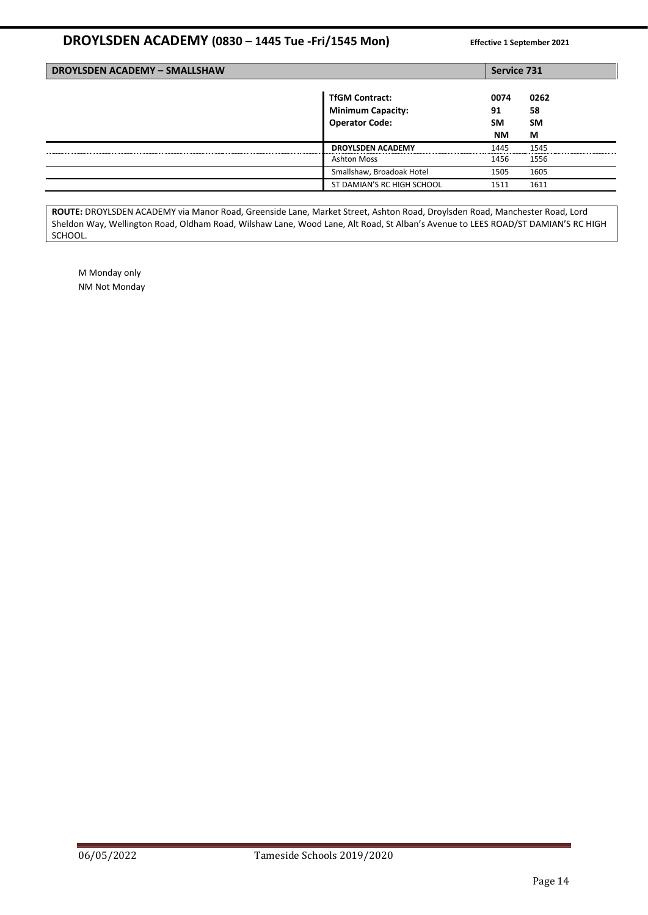# **DROYLSDEN ACADEMY (0830 – 1445 Tue -Fri/1545 Mon) Effective 1 September <sup>2021</sup>**

| <b>DROYLSDEN ACADEMY - SMALLSHAW</b> |                                                                            |                               | Service 731                  |  |
|--------------------------------------|----------------------------------------------------------------------------|-------------------------------|------------------------------|--|
|                                      | <b>TfGM Contract:</b><br><b>Minimum Capacity:</b><br><b>Operator Code:</b> | 0074<br>91<br>SM<br><b>NM</b> | 0262<br>58<br><b>SM</b><br>М |  |
|                                      | <b>DROYLSDEN ACADEMY</b>                                                   | 1445                          | 1545                         |  |
|                                      | <b>Ashton Moss</b>                                                         | 1456                          | 1556                         |  |
|                                      | Smallshaw, Broadoak Hotel                                                  | 1505                          | 1605                         |  |
|                                      | ST DAMIAN'S RC HIGH SCHOOL                                                 | 1511                          | 1611                         |  |

**ROUTE:** DROYLSDEN ACADEMY via Manor Road, Greenside Lane, Market Street, Ashton Road, Droylsden Road, Manchester Road, Lord Sheldon Way, Wellington Road, Oldham Road, Wilshaw Lane, Wood Lane, Alt Road, St Alban's Avenue to LEES ROAD/ST DAMIAN'S RC HIGH SCHOOL.

M Monday only NM Not Monday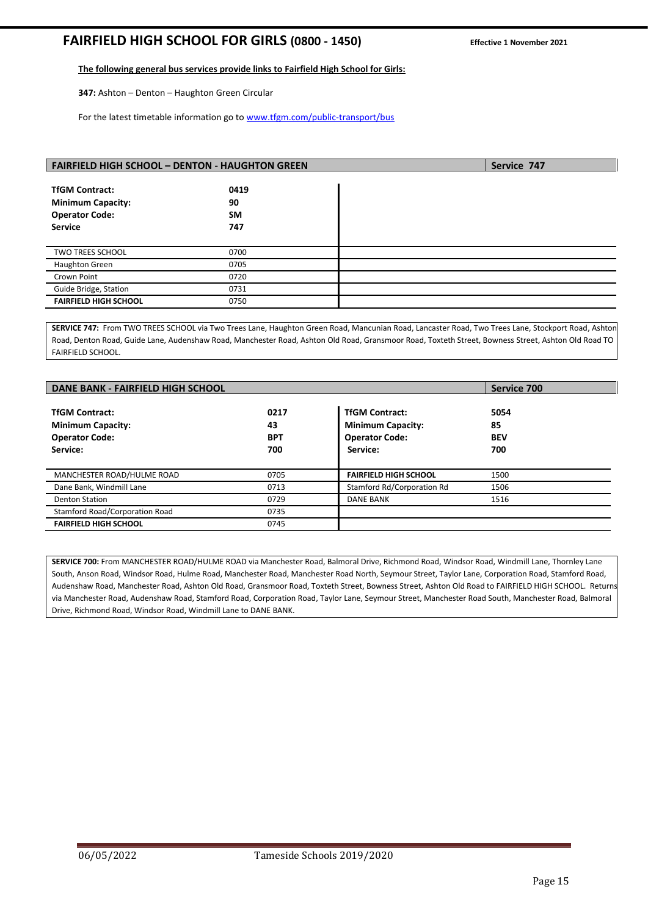# **FAIRFIELD HIGH SCHOOL FOR GIRLS (0800 - 1450) Effective 1 November <sup>2021</sup>**

#### **The following general bus services provide links to Fairfield High School for Girls:**

**347:** Ashton – Denton – Haughton Green Circular

For the latest timetable information go t[o www.tfgm.com/public-transport/bus](http://www.tfgm.com/public-transport/bus)

| <b>FAIRFIELD HIGH SCHOOL - DENTON - HAUGHTON GREEN</b> |           |  | Service 747 |
|--------------------------------------------------------|-----------|--|-------------|
|                                                        |           |  |             |
| <b>TfGM Contract:</b>                                  | 0419      |  |             |
| <b>Minimum Capacity:</b>                               | 90        |  |             |
| <b>Operator Code:</b>                                  | <b>SM</b> |  |             |
| <b>Service</b>                                         | 747       |  |             |
|                                                        |           |  |             |
| <b>TWO TREES SCHOOL</b>                                | 0700      |  |             |
| <b>Haughton Green</b>                                  | 0705      |  |             |
| Crown Point                                            | 0720      |  |             |
| Guide Bridge, Station                                  | 0731      |  |             |
| <b>FAIRFIELD HIGH SCHOOL</b>                           | 0750      |  |             |

**SERVICE 747:** From TWO TREES SCHOOL via Two Trees Lane, Haughton Green Road, Mancunian Road, Lancaster Road, Two Trees Lane, Stockport Road, Ashton Road, Denton Road, Guide Lane, Audenshaw Road, Manchester Road, Ashton Old Road, Gransmoor Road, Toxteth Street, Bowness Street, Ashton Old Road TO FAIRFIELD SCHOOL.

| <b>DANE BANK - FAIRFIELD HIGH SCHOOL</b>                                               |                                 |                                                                                        | Service 700                     |
|----------------------------------------------------------------------------------------|---------------------------------|----------------------------------------------------------------------------------------|---------------------------------|
| <b>TfGM Contract:</b><br><b>Minimum Capacity:</b><br><b>Operator Code:</b><br>Service: | 0217<br>43<br><b>BPT</b><br>700 | <b>TfGM Contract:</b><br><b>Minimum Capacity:</b><br><b>Operator Code:</b><br>Service: | 5054<br>85<br><b>BEV</b><br>700 |
| MANCHESTER ROAD/HULME ROAD                                                             | 0705                            | <b>FAIRFIELD HIGH SCHOOL</b>                                                           | 1500                            |
| Dane Bank, Windmill Lane                                                               | 0713                            | Stamford Rd/Corporation Rd                                                             | 1506                            |
| <b>Denton Station</b>                                                                  | 0729                            | <b>DANE BANK</b>                                                                       | 1516                            |
| Stamford Road/Corporation Road                                                         | 0735                            |                                                                                        |                                 |
| <b>FAIRFIELD HIGH SCHOOL</b>                                                           | 0745                            |                                                                                        |                                 |

**SERVICE 700:** From MANCHESTER ROAD/HULME ROAD via Manchester Road, Balmoral Drive, Richmond Road, Windsor Road, Windmill Lane, Thornley Lane South, Anson Road, Windsor Road, Hulme Road, Manchester Road, Manchester Road North, Seymour Street, Taylor Lane, Corporation Road, Stamford Road, Audenshaw Road, Manchester Road, Ashton Old Road, Gransmoor Road, Toxteth Street, Bowness Street, Ashton Old Road to FAIRFIELD HIGH SCHOOL. Returns via Manchester Road, Audenshaw Road, Stamford Road, Corporation Road, Taylor Lane, Seymour Street, Manchester Road South, Manchester Road, Balmoral Drive, Richmond Road, Windsor Road, Windmill Lane to DANE BANK.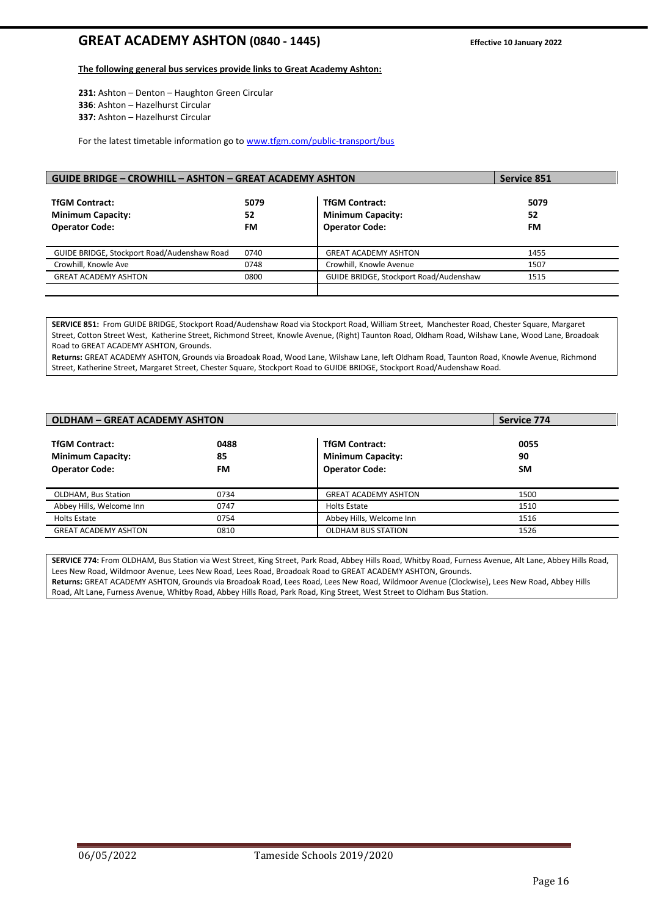# **GREAT ACADEMY ASHTON (0840 - 1445) Effective 10 January <sup>2022</sup>**

#### **The following general bus services provide links to Great Academy Ashton:**

**231:** Ashton – Denton – Haughton Green Circular **336**: Ashton – Hazelhurst Circular **337:** Ashton – Hazelhurst Circular

For the latest timetable information go t[o www.tfgm.com/public-transport/bus](http://www.tfgm.com/public-transport/bus)

| <b>GUIDE BRIDGE - CROWHILL - ASHTON - GREAT ACADEMY ASHTON</b>             | <b>Service 851</b> |                                                                            |                  |
|----------------------------------------------------------------------------|--------------------|----------------------------------------------------------------------------|------------------|
| <b>TfGM Contract:</b><br><b>Minimum Capacity:</b><br><b>Operator Code:</b> | 5079<br>52<br>FM   | <b>TfGM Contract:</b><br><b>Minimum Capacity:</b><br><b>Operator Code:</b> | 5079<br>52<br>FM |
| GUIDE BRIDGE, Stockport Road/Audenshaw Road                                | 0740               | <b>GREAT ACADEMY ASHTON</b>                                                | 1455             |
| Crowhill, Knowle Ave                                                       | 0748               | Crowhill, Knowle Avenue                                                    | 1507             |
| <b>GREAT ACADEMY ASHTON</b>                                                | 0800               | GUIDE BRIDGE, Stockport Road/Audenshaw                                     | 1515             |
|                                                                            |                    |                                                                            |                  |

**SERVICE 851:** From GUIDE BRIDGE, Stockport Road/Audenshaw Road via Stockport Road, William Street, Manchester Road, Chester Square, Margaret Street, Cotton Street West, Katherine Street, Richmond Street, Knowle Avenue, (Right) Taunton Road, Oldham Road, Wilshaw Lane, Wood Lane, Broadoak Road to GREAT ACADEMY ASHTON, Grounds.

**Returns:** GREAT ACADEMY ASHTON, Grounds via Broadoak Road, Wood Lane, Wilshaw Lane, left Oldham Road, Taunton Road, Knowle Avenue, Richmond Street, Katherine Street, Margaret Street, Chester Square, Stockport Road to GUIDE BRIDGE, Stockport Road/Audenshaw Road.

| <b>OLDHAM - GREAT ACADEMY ASHTON</b>                                       |                  |                                                                            | Service 774             |
|----------------------------------------------------------------------------|------------------|----------------------------------------------------------------------------|-------------------------|
| <b>TfGM Contract:</b><br><b>Minimum Capacity:</b><br><b>Operator Code:</b> | 0488<br>85<br>FM | <b>TfGM Contract:</b><br><b>Minimum Capacity:</b><br><b>Operator Code:</b> | 0055<br>90<br><b>SM</b> |
| <b>OLDHAM, Bus Station</b>                                                 | 0734             | <b>GREAT ACADEMY ASHTON</b>                                                | 1500                    |
| Abbey Hills, Welcome Inn                                                   | 0747             | Holts Estate                                                               | 1510                    |
| Holts Estate                                                               | 0754             | Abbey Hills, Welcome Inn                                                   | 1516                    |
| <b>GREAT ACADEMY ASHTON</b>                                                | 0810             | <b>OLDHAM BUS STATION</b>                                                  | 1526                    |

**SERVICE 774:** From OLDHAM, Bus Station via West Street, King Street, Park Road, Abbey Hills Road, Whitby Road, Furness Avenue, Alt Lane, Abbey Hills Road, Lees New Road, Wildmoor Avenue, Lees New Road, Lees Road, Broadoak Road to GREAT ACADEMY ASHTON, Grounds. **Returns:** GREAT ACADEMY ASHTON, Grounds via Broadoak Road, Lees Road, Lees New Road, Wildmoor Avenue (Clockwise), Lees New Road, Abbey Hills Road, Alt Lane, Furness Avenue, Whitby Road, Abbey Hills Road, Park Road, King Street, West Street to Oldham Bus Station.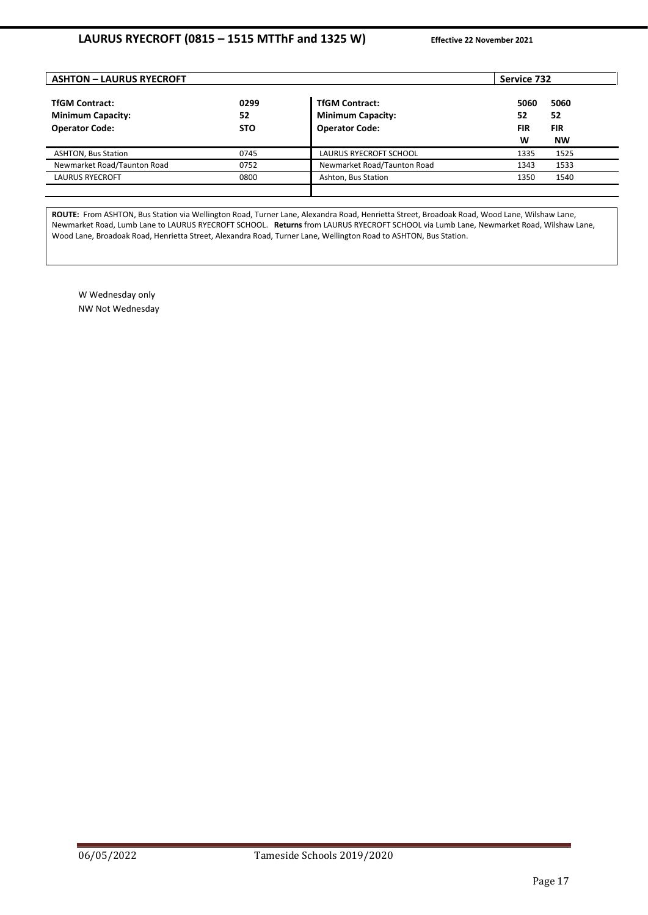| <b>ASHTON - LAURUS RYECROFT</b>                                            |                          |                                                                            | Service 732                                                            |
|----------------------------------------------------------------------------|--------------------------|----------------------------------------------------------------------------|------------------------------------------------------------------------|
| <b>TfGM Contract:</b><br><b>Minimum Capacity:</b><br><b>Operator Code:</b> | 0299<br>52<br><b>STO</b> | <b>TfGM Contract:</b><br><b>Minimum Capacity:</b><br><b>Operator Code:</b> | 5060<br>5060<br>52<br>52<br><b>FIR</b><br><b>FIR</b><br>W<br><b>NW</b> |
| <b>ASHTON, Bus Station</b>                                                 | 0745                     | LAURUS RYECROFT SCHOOL                                                     | 1525<br>1335                                                           |
| Newmarket Road/Taunton Road                                                | 0752                     | Newmarket Road/Taunton Road                                                | 1533<br>1343                                                           |
| <b>LAURUS RYECROFT</b>                                                     | 0800                     | Ashton, Bus Station                                                        | 1540<br>1350                                                           |
|                                                                            |                          |                                                                            |                                                                        |

**ROUTE:** From ASHTON, Bus Station via Wellington Road, Turner Lane, Alexandra Road, Henrietta Street, Broadoak Road, Wood Lane, Wilshaw Lane, Newmarket Road, Lumb Lane to LAURUS RYECROFT SCHOOL. **Returns** from LAURUS RYECROFT SCHOOL via Lumb Lane, Newmarket Road, Wilshaw Lane, Wood Lane, Broadoak Road, Henrietta Street, Alexandra Road, Turner Lane, Wellington Road to ASHTON, Bus Station.

W Wednesday only NW Not Wednesday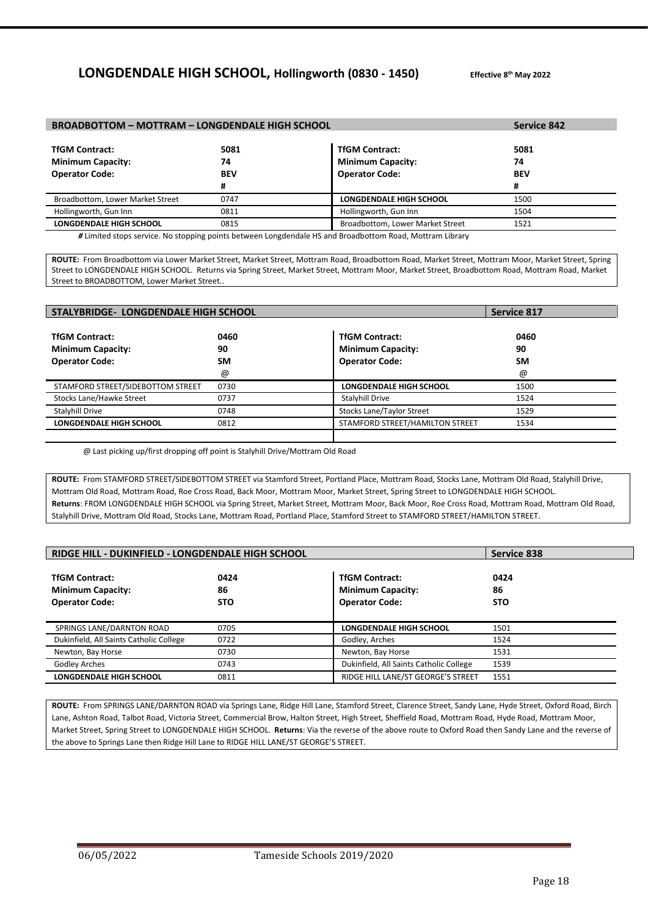# **LONGDENDALE HIGH SCHOOL, Hollingworth (0830 - 1450)**

**th May 2022**

| <b>BROADBOTTOM - MOTTRAM - LONGDENDALE HIGH SCHOOL</b> | Service 842 |                                                                                                        |            |
|--------------------------------------------------------|-------------|--------------------------------------------------------------------------------------------------------|------------|
|                                                        |             |                                                                                                        |            |
| <b>TfGM Contract:</b>                                  | 5081        | <b>TfGM Contract:</b>                                                                                  | 5081       |
| <b>Minimum Capacity:</b>                               | 74          | <b>Minimum Capacity:</b>                                                                               | 74         |
| <b>Operator Code:</b>                                  | <b>BEV</b>  | <b>Operator Code:</b>                                                                                  | <b>BEV</b> |
|                                                        | #           |                                                                                                        | #          |
| Broadbottom, Lower Market Street                       | 0747        | LONGDENDALE HIGH SCHOOL                                                                                | 1500       |
| Hollingworth, Gun Inn                                  | 0811        | Hollingworth, Gun Inn                                                                                  | 1504       |
| <b>LONGDENDALE HIGH SCHOOL</b>                         | 0815        | Broadbottom, Lower Market Street                                                                       | 1521       |
|                                                        |             | Himited stans service. No stanning points between Longdondale HS and Proadbottom Poad, Mottram Library |            |

*\** Service. No stopping points between Longdend

**ROUTE:** From Broadbottom via Lower Market Street, Market Street, Mottram Road, Broadbottom Road, Market Street, Mottram Moor, Market Street, Spring Street to LONGDENDALE HIGH SCHOOL. Returns via Spring Street, Market Street, Mottram Moor, Market Street, Broadbottom Road, Mottram Road, Market Street to BROADBOTTOM, Lower Market Street..

| <b>STALYBRIDGE- LONGDENDALE HIGH SCHOOL</b>                                |                              |                                                                            | <b>Service 817</b>           |
|----------------------------------------------------------------------------|------------------------------|----------------------------------------------------------------------------|------------------------------|
| <b>TfGM Contract:</b><br><b>Minimum Capacity:</b><br><b>Operator Code:</b> | 0460<br>90<br><b>SM</b><br>@ | <b>TfGM Contract:</b><br><b>Minimum Capacity:</b><br><b>Operator Code:</b> | 0460<br>90<br><b>SM</b><br>@ |
| STAMFORD STREET/SIDEBOTTOM STREET                                          | 0730                         | <b>LONGDENDALE HIGH SCHOOL</b>                                             | 1500                         |
| Stocks Lane/Hawke Street                                                   | 0737                         | <b>Stalvhill Drive</b>                                                     | 1524                         |
| Stalyhill Drive                                                            | 0748                         | <b>Stocks Lane/Taylor Street</b>                                           | 1529                         |
| <b>LONGDENDALE HIGH SCHOOL</b>                                             | 0812                         | STAMFORD STREET/HAMILTON STREET                                            | 1534                         |

@ Last picking up/first dropping off point is Stalyhill Drive/Mottram Old Road

**ROUTE:** From STAMFORD STREET/SIDEBOTTOM STREET via Stamford Street, Portland Place, Mottram Road, Stocks Lane, Mottram Old Road, Stalyhill Drive, Mottram Old Road, Mottram Road, Roe Cross Road, Back Moor, Mottram Moor, Market Street, Spring Street to LONGDENDALE HIGH SCHOOL. **Returns**: FROM LONGDENDALE HIGH SCHOOL via Spring Street, Market Street, Mottram Moor, Back Moor, Roe Cross Road, Mottram Road, Mottram Old Road, Stalyhill Drive, Mottram Old Road, Stocks Lane, Mottram Road, Portland Place, Stamford Street to STAMFORD STREET/HAMILTON STREET.

| RIDGE HILL - DUKINFIELD - LONGDENDALE HIGH SCHOOL                          |                          |                                                                            | <b>Service 838</b>       |
|----------------------------------------------------------------------------|--------------------------|----------------------------------------------------------------------------|--------------------------|
| <b>TfGM Contract:</b><br><b>Minimum Capacity:</b><br><b>Operator Code:</b> | 0424<br>86<br><b>STO</b> | <b>TfGM Contract:</b><br><b>Minimum Capacity:</b><br><b>Operator Code:</b> | 0424<br>86<br><b>STO</b> |
| SPRINGS LANE/DARNTON ROAD                                                  | 0705                     | LONGDENDALE HIGH SCHOOL                                                    | 1501                     |
| Dukinfield, All Saints Catholic College                                    | 0722                     | Godley, Arches                                                             | 1524                     |
| Newton, Bay Horse                                                          | 0730                     | Newton, Bay Horse                                                          | 1531                     |
| <b>Godley Arches</b>                                                       | 0743                     | Dukinfield, All Saints Catholic College                                    | 1539                     |
| <b>LONGDENDALE HIGH SCHOOL</b>                                             | 0811                     | RIDGE HILL LANE/ST GEORGE'S STREET                                         | 1551                     |

**ROUTE:** From SPRINGS LANE/DARNTON ROAD via Springs Lane, Ridge Hill Lane, Stamford Street, Clarence Street, Sandy Lane, Hyde Street, Oxford Road, Birch Lane, Ashton Road, Talbot Road, Victoria Street, Commercial Brow, Halton Street, High Street, Sheffield Road, Mottram Road, Hyde Road, Mottram Moor, Market Street, Spring Street to LONGDENDALE HIGH SCHOOL. **Returns**: Via the reverse of the above route to Oxford Road then Sandy Lane and the reverse of the above to Springs Lane then Ridge Hill Lane to RIDGE HILL LANE/ST GEORGE'S STREET.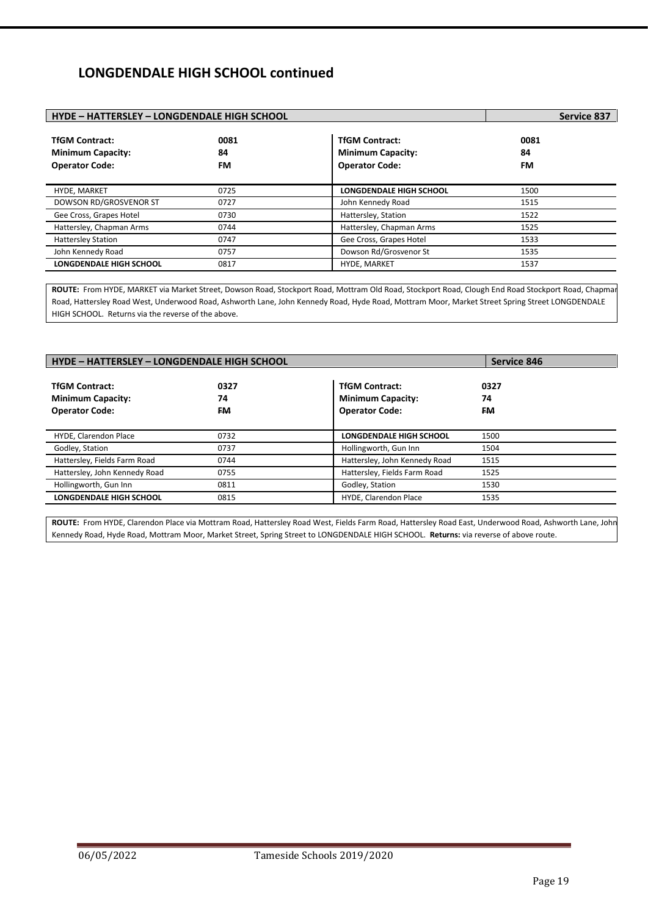# **LONGDENDALE HIGH SCHOOL continued**

| <b>HYDE - HATTERSLEY - LONGDENDALE HIGH SCHOOL</b>                         |                         |                                                                            | <b>Service 837</b> |
|----------------------------------------------------------------------------|-------------------------|----------------------------------------------------------------------------|--------------------|
| <b>TfGM Contract:</b><br><b>Minimum Capacity:</b><br><b>Operator Code:</b> | 0081<br>84<br><b>FM</b> | <b>TfGM Contract:</b><br><b>Minimum Capacity:</b><br><b>Operator Code:</b> | 0081<br>84<br>FM   |
| HYDE, MARKET                                                               | 0725                    | <b>LONGDENDALE HIGH SCHOOL</b>                                             | 1500               |
| <b>DOWSON RD/GROSVENOR ST</b>                                              | 0727                    | John Kennedy Road                                                          | 1515               |
| Gee Cross, Grapes Hotel                                                    | 0730                    | Hattersley, Station                                                        | 1522               |
| Hattersley, Chapman Arms                                                   | 0744                    | Hattersley, Chapman Arms                                                   | 1525               |
| <b>Hattersley Station</b>                                                  | 0747                    | Gee Cross, Grapes Hotel                                                    | 1533               |
| John Kennedy Road                                                          | 0757                    | Dowson Rd/Grosvenor St                                                     | 1535               |
| <b>LONGDENDALE HIGH SCHOOL</b>                                             | 0817                    | <b>HYDE, MARKET</b>                                                        | 1537               |

ROUTE: From HYDE, MARKET via Market Street, Dowson Road, Stockport Road, Mottram Old Road, Stockport Road, Clough End Road Stockport Road, Chapman Road, Hattersley Road West, Underwood Road, Ashworth Lane, John Kennedy Road, Hyde Road, Mottram Moor, Market Street Spring Street LONGDENDALE HIGH SCHOOL. Returns via the reverse of the above.

| HYDE - HATTERSLEY - LONGDENDALE HIGH SCHOOL                                |                   |                                                                            | Service 846       |
|----------------------------------------------------------------------------|-------------------|----------------------------------------------------------------------------|-------------------|
| <b>TfGM Contract:</b><br><b>Minimum Capacity:</b><br><b>Operator Code:</b> | 0327<br>74<br>FM. | <b>TfGM Contract:</b><br><b>Minimum Capacity:</b><br><b>Operator Code:</b> | 0327<br>74<br>FM. |
| HYDE, Clarendon Place                                                      | 0732              | <b>LONGDENDALE HIGH SCHOOL</b>                                             | 1500              |
| Godley, Station                                                            | 0737              | Hollingworth, Gun Inn                                                      | 1504              |
| Hattersley, Fields Farm Road                                               | 0744              | Hattersley, John Kennedy Road                                              | 1515              |
| Hattersley, John Kennedy Road                                              | 0755              | Hattersley, Fields Farm Road                                               | 1525              |
| Hollingworth, Gun Inn                                                      | 0811              | Godley, Station                                                            | 1530              |
| <b>LONGDENDALE HIGH SCHOOL</b>                                             | 0815              | HYDE, Clarendon Place                                                      | 1535              |

**ROUTE:** From HYDE, Clarendon Place via Mottram Road, Hattersley Road West, Fields Farm Road, Hattersley Road East, Underwood Road, Ashworth Lane, John Kennedy Road, Hyde Road, Mottram Moor, Market Street, Spring Street to LONGDENDALE HIGH SCHOOL. **Returns:** via reverse of above route.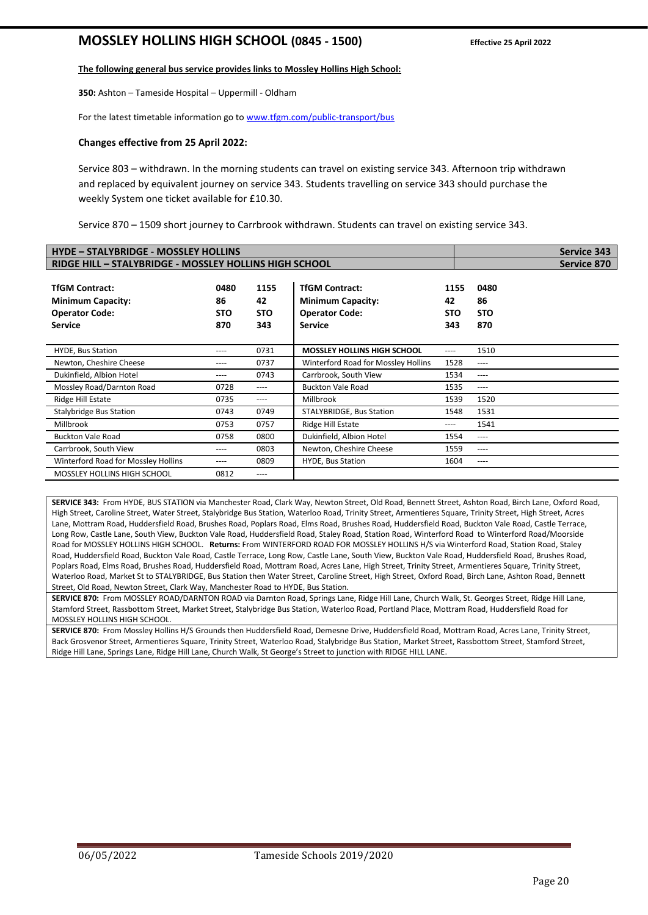# **MOSSLEY HOLLINS HIGH SCHOOL (0845 - 1500) Effective 25 April 2022**

#### **The following general bus service provides links to Mossley Hollins High School:**

**350:** Ashton – Tameside Hospital – Uppermill - Oldham

For the latest timetable information go t[o www.tfgm.com/public-transport/bus](http://www.tfgm.com/public-transport/bus)

#### **Changes effective from 25 April 2022:**

Service 803 – withdrawn. In the morning students can travel on existing service 343. Afternoon trip withdrawn and replaced by equivalent journey on service 343. Students travelling on service 343 should purchase the weekly System one ticket available for £10.30.

Service 870 – 1509 short journey to Carrbrook withdrawn. Students can travel on existing service 343.

| <b>HYDE - STALYBRIDGE - MOSSLEY HOLLINS</b>                                                  |                                                        |                                 |                                                                                              |                                 |                                 | <b>Service 343</b> |
|----------------------------------------------------------------------------------------------|--------------------------------------------------------|---------------------------------|----------------------------------------------------------------------------------------------|---------------------------------|---------------------------------|--------------------|
|                                                                                              | RIDGE HILL - STALYBRIDGE - MOSSLEY HOLLINS HIGH SCHOOL |                                 |                                                                                              |                                 |                                 | Service 870        |
| <b>TfGM Contract:</b><br><b>Minimum Capacity:</b><br><b>Operator Code:</b><br><b>Service</b> | 0480<br>86<br><b>STO</b><br>870                        | 1155<br>42<br><b>STO</b><br>343 | <b>TfGM Contract:</b><br><b>Minimum Capacity:</b><br><b>Operator Code:</b><br><b>Service</b> | 1155<br>42<br><b>STO</b><br>343 | 0480<br>86<br><b>STO</b><br>870 |                    |
| <b>HYDE, Bus Station</b>                                                                     | ----                                                   | 0731                            | <b>MOSSLEY HOLLINS HIGH SCHOOL</b>                                                           | ----                            | 1510                            |                    |
| Newton, Cheshire Cheese                                                                      | ----                                                   | 0737                            | Winterford Road for Mossley Hollins                                                          | 1528                            | ----                            |                    |
| Dukinfield, Albion Hotel                                                                     | ----                                                   | 0743                            | Carrbrook, South View                                                                        | 1534                            | ----                            |                    |
| Mossley Road/Darnton Road                                                                    | 0728                                                   | ----                            | <b>Buckton Vale Road</b>                                                                     | 1535                            | ----                            |                    |
| Ridge Hill Estate                                                                            | 0735                                                   | ----                            | Millbrook                                                                                    | 1539                            | 1520                            |                    |
| <b>Stalybridge Bus Station</b>                                                               | 0743                                                   | 0749                            | STALYBRIDGE, Bus Station                                                                     | 1548                            | 1531                            |                    |
| Millbrook                                                                                    | 0753                                                   | 0757                            | Ridge Hill Estate                                                                            | ----                            | 1541                            |                    |
| <b>Buckton Vale Road</b>                                                                     | 0758                                                   | 0800                            | Dukinfield, Albion Hotel                                                                     | 1554                            | ----                            |                    |
| Carrbrook, South View                                                                        | ----                                                   | 0803                            | Newton, Cheshire Cheese                                                                      | 1559                            | ----                            |                    |
| Winterford Road for Mossley Hollins                                                          | ----                                                   | 0809                            | <b>HYDE, Bus Station</b>                                                                     | 1604                            | ----                            |                    |
| <b>MOSSLEY HOLLINS HIGH SCHOOL</b>                                                           | 0812                                                   | $--- -$                         |                                                                                              |                                 |                                 |                    |

**SERVICE 343:** From HYDE, BUS STATION via Manchester Road, Clark Way, Newton Street, Old Road, Bennett Street, Ashton Road, Birch Lane, Oxford Road, High Street, Caroline Street, Water Street, Stalybridge Bus Station, Waterloo Road, Trinity Street, Armentieres Square, Trinity Street, High Street, Acres Lane, Mottram Road, Huddersfield Road, Brushes Road, Poplars Road, Elms Road, Brushes Road, Huddersfield Road, Buckton Vale Road, Castle Terrace, Long Row, Castle Lane, South View, Buckton Vale Road, Huddersfield Road, Staley Road, Station Road, Winterford Road to Winterford Road/Moorside Road for MOSSLEY HOLLINS HIGH SCHOOL. **Returns:** From WINTERFORD ROAD FOR MOSSLEY HOLLINS H/S via Winterford Road, Station Road, Staley Road, Huddersfield Road, Buckton Vale Road, Castle Terrace, Long Row, Castle Lane, South View, Buckton Vale Road, Huddersfield Road, Brushes Road, Poplars Road, Elms Road, Brushes Road, Huddersfield Road, Mottram Road, Acres Lane, High Street, Trinity Street, Armentieres Square, Trinity Street, Waterloo Road, Market St to STALYBRIDGE, Bus Station then Water Street, Caroline Street, High Street, Oxford Road, Birch Lane, Ashton Road, Bennett Street, Old Road, Newton Street, Clark Way, Manchester Road to HYDE, Bus Station.

**SERVICE 870:** From MOSSLEY ROAD/DARNTON ROAD via Darnton Road, Springs Lane, Ridge Hill Lane, Church Walk, St. Georges Street, Ridge Hill Lane, Stamford Street, Rassbottom Street, Market Street, Stalybridge Bus Station, Waterloo Road, Portland Place, Mottram Road, Huddersfield Road for MOSSLEY HOLLINS HIGH SCHOOL.

**SERVICE 870:** From Mossley Hollins H/S Grounds then Huddersfield Road, Demesne Drive, Huddersfield Road, Mottram Road, Acres Lane, Trinity Street, Back Grosvenor Street, Armentieres Square, Trinity Street, Waterloo Road, Stalybridge Bus Station, Market Street, Rassbottom Street, Stamford Street, Ridge Hill Lane, Springs Lane, Ridge Hill Lane, Church Walk, St George's Street to junction with RIDGE HILL LANE.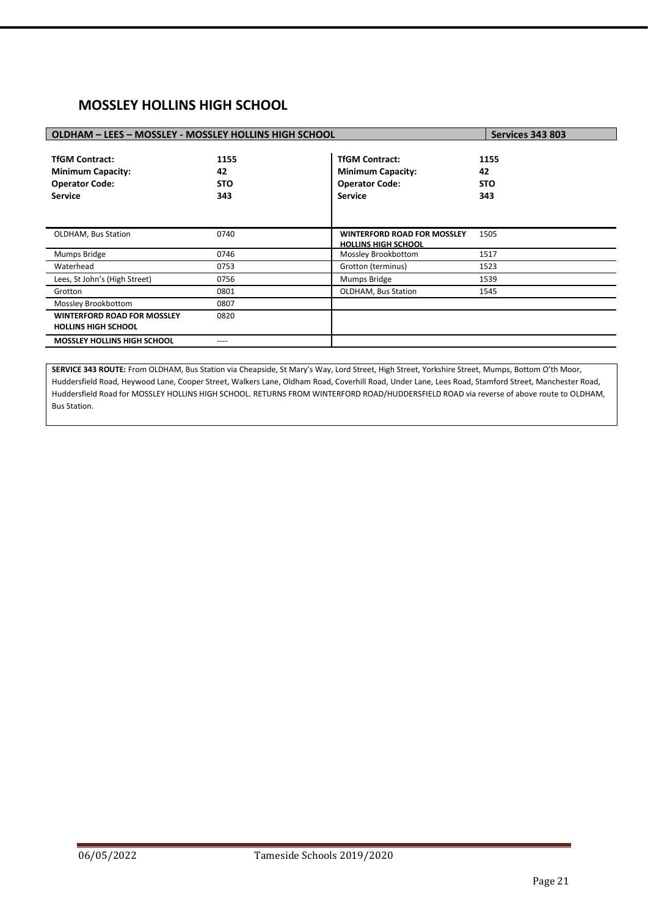# **MOSSLEY HOLLINS HIGH SCHOOL**

| OLDHAM - LEES - MOSSLEY - MOSSLEY HOLLINS HIGH SCHOOL                                        |                                 |                                                                                              | <b>Services 343 803</b>         |
|----------------------------------------------------------------------------------------------|---------------------------------|----------------------------------------------------------------------------------------------|---------------------------------|
| <b>TfGM Contract:</b><br><b>Minimum Capacity:</b><br><b>Operator Code:</b><br><b>Service</b> | 1155<br>42<br><b>STO</b><br>343 | <b>TfGM Contract:</b><br><b>Minimum Capacity:</b><br><b>Operator Code:</b><br><b>Service</b> | 1155<br>42<br><b>STO</b><br>343 |
| <b>OLDHAM, Bus Station</b>                                                                   | 0740                            | <b>WINTERFORD ROAD FOR MOSSLEY</b><br><b>HOLLINS HIGH SCHOOL</b>                             | 1505                            |
| Mumps Bridge                                                                                 | 0746                            | Mossley Brookbottom                                                                          | 1517                            |
| Waterhead                                                                                    | 0753                            | Grotton (terminus)                                                                           | 1523                            |
| Lees, St John's (High Street)                                                                | 0756                            | Mumps Bridge                                                                                 | 1539                            |
| Grotton                                                                                      | 0801                            | <b>OLDHAM, Bus Station</b>                                                                   | 1545                            |
| Mossley Brookbottom                                                                          | 0807                            |                                                                                              |                                 |
| <b>WINTERFORD ROAD FOR MOSSLEY</b><br><b>HOLLINS HIGH SCHOOL</b>                             | 0820                            |                                                                                              |                                 |
| <b>MOSSLEY HOLLINS HIGH SCHOOL</b>                                                           |                                 |                                                                                              |                                 |

**SERVICE 343 ROUTE:** From OLDHAM, Bus Station via Cheapside, St Mary's Way, Lord Street, High Street, Yorkshire Street, Mumps, Bottom O'th Moor, Huddersfield Road, Heywood Lane, Cooper Street, Walkers Lane, Oldham Road, Coverhill Road, Under Lane, Lees Road, Stamford Street, Manchester Road, Huddersfield Road for MOSSLEY HOLLINS HIGH SCHOOL. RETURNS FROM WINTERFORD ROAD/HUDDERSFIELD ROAD via reverse of above route to OLDHAM, Bus Station.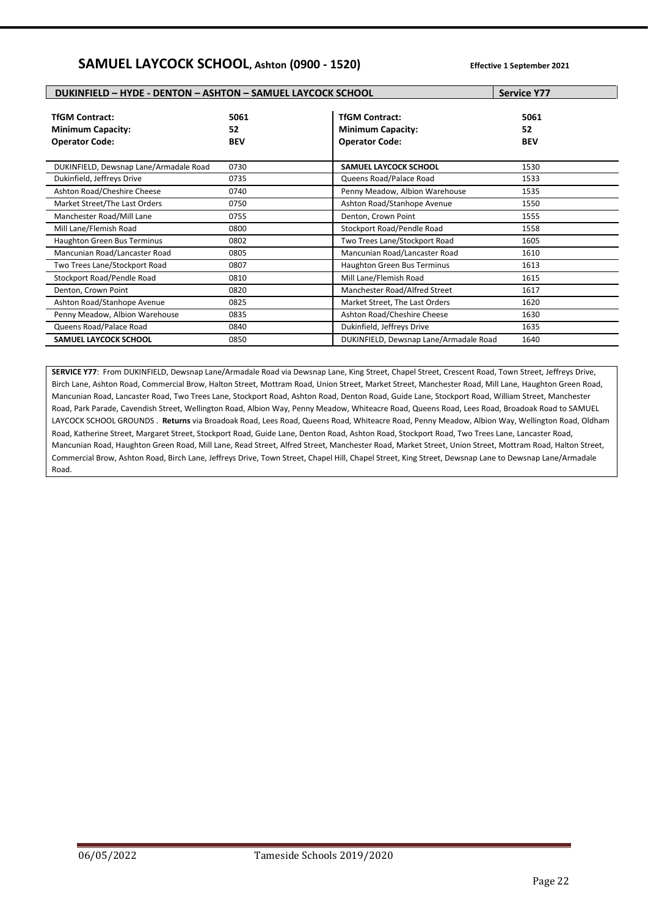# **SAMUEL LAYCOCK SCHOOL, Ashton (0900 - 1520) Effective 1 September <sup>2021</sup>**

| <b>DUKINFIELD - HYDE - DENTON - ASHTON - SAMUEL LAYCOCK SCHOOL</b>         | <b>Service Y77</b>       |                                                                            |                          |
|----------------------------------------------------------------------------|--------------------------|----------------------------------------------------------------------------|--------------------------|
| <b>TfGM Contract:</b><br><b>Minimum Capacity:</b><br><b>Operator Code:</b> | 5061<br>52<br><b>BEV</b> | <b>TfGM Contract:</b><br><b>Minimum Capacity:</b><br><b>Operator Code:</b> | 5061<br>52<br><b>BEV</b> |
| DUKINFIELD, Dewsnap Lane/Armadale Road                                     | 0730                     | <b>SAMUEL LAYCOCK SCHOOL</b>                                               | 1530                     |
| Dukinfield, Jeffreys Drive                                                 | 0735                     | Queens Road/Palace Road                                                    | 1533                     |
| Ashton Road/Cheshire Cheese                                                | 0740                     | Penny Meadow, Albion Warehouse                                             | 1535                     |
| Market Street/The Last Orders                                              | 0750                     | Ashton Road/Stanhope Avenue                                                | 1550                     |
| Manchester Road/Mill Lane                                                  | 0755                     | Denton, Crown Point                                                        | 1555                     |
| Mill Lane/Flemish Road                                                     | 0800                     | Stockport Road/Pendle Road                                                 | 1558                     |
| Haughton Green Bus Terminus                                                | 0802                     | Two Trees Lane/Stockport Road                                              | 1605                     |
| Mancunian Road/Lancaster Road                                              | 0805                     | Mancunian Road/Lancaster Road                                              | 1610                     |
| Two Trees Lane/Stockport Road                                              | 0807                     | <b>Haughton Green Bus Terminus</b>                                         | 1613                     |
| Stockport Road/Pendle Road                                                 | 0810                     | Mill Lane/Flemish Road                                                     | 1615                     |
| Denton, Crown Point                                                        | 0820                     | Manchester Road/Alfred Street                                              | 1617                     |
| Ashton Road/Stanhope Avenue                                                | 0825                     | Market Street, The Last Orders                                             | 1620                     |
| Penny Meadow, Albion Warehouse                                             | 0835                     | Ashton Road/Cheshire Cheese                                                | 1630                     |
| Queens Road/Palace Road                                                    | 0840                     | Dukinfield, Jeffreys Drive                                                 | 1635                     |
| SAMUEL LAYCOCK SCHOOL                                                      | 0850                     | DUKINFIELD, Dewsnap Lane/Armadale Road                                     | 1640                     |

SERVICE Y77: From DUKINFIELD, Dewsnap Lane/Armadale Road via Dewsnap Lane, King Street, Chapel Street, Crescent Road, Town Street, Jeffreys Drive, Birch Lane, Ashton Road, Commercial Brow, Halton Street, Mottram Road, Union Street, Market Street, Manchester Road, Mill Lane, Haughton Green Road, Mancunian Road, Lancaster Road, Two Trees Lane, Stockport Road, Ashton Road, Denton Road, Guide Lane, Stockport Road, William Street, Manchester Road, Park Parade, Cavendish Street, Wellington Road, Albion Way, Penny Meadow, Whiteacre Road, Queens Road, Lees Road, Broadoak Road to SAMUEL LAYCOCK SCHOOL GROUNDS . **Returns** via Broadoak Road, Lees Road, Queens Road, Whiteacre Road, Penny Meadow, Albion Way, Wellington Road, Oldham Road, Katherine Street, Margaret Street, Stockport Road, Guide Lane, Denton Road, Ashton Road, Stockport Road, Two Trees Lane, Lancaster Road, Mancunian Road, Haughton Green Road, Mill Lane, Read Street, Alfred Street, Manchester Road, Market Street, Union Street, Mottram Road, Halton Street, Commercial Brow, Ashton Road, Birch Lane, Jeffreys Drive, Town Street, Chapel Hill, Chapel Street, King Street, Dewsnap Lane to Dewsnap Lane/Armadale Road.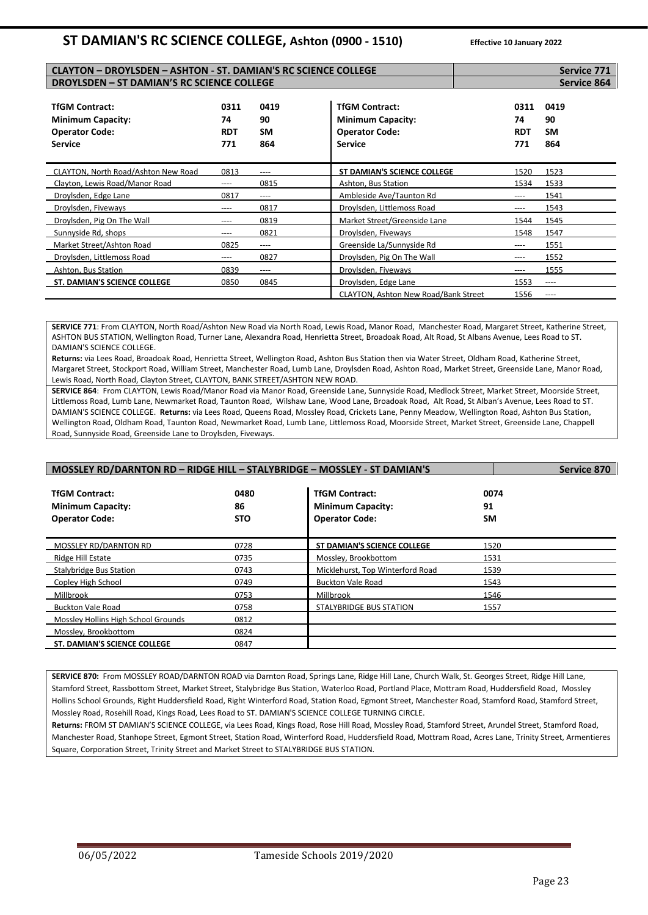# **ST DAMIAN'S RC SCIENCE COLLEGE, Ashton (0900 - 1510) Effective 10 January <sup>2022</sup>**

| <b>CLAYTON - DROYLSDEN - ASHTON - ST. DAMIAN'S RC SCIENCE COLLEGE</b>                        |                                 |                         | <b>Service 771</b>                                                                           |                                 |                                |
|----------------------------------------------------------------------------------------------|---------------------------------|-------------------------|----------------------------------------------------------------------------------------------|---------------------------------|--------------------------------|
| <b>DROYLSDEN - ST DAMIAN'S RC SCIENCE COLLEGE</b>                                            |                                 |                         |                                                                                              |                                 | Service 864                    |
| <b>TfGM Contract:</b><br><b>Minimum Capacity:</b><br><b>Operator Code:</b><br><b>Service</b> | 0311<br>74<br><b>RDT</b><br>771 | 0419<br>90<br>SM<br>864 | <b>TfGM Contract:</b><br><b>Minimum Capacity:</b><br><b>Operator Code:</b><br><b>Service</b> | 0311<br>74<br><b>RDT</b><br>771 | 0419<br>90<br><b>SM</b><br>864 |
| CLAYTON, North Road/Ashton New Road                                                          | 0813                            | ----                    | <b>ST DAMIAN'S SCIENCE COLLEGE</b>                                                           | 1520                            | 1523                           |
| Clayton, Lewis Road/Manor Road                                                               | ----                            | 0815                    | Ashton, Bus Station                                                                          | 1534                            | 1533                           |
| Droylsden, Edge Lane                                                                         | 0817                            | ----                    | Ambleside Ave/Taunton Rd                                                                     | ----                            | 1541                           |
| Droylsden, Fiveways                                                                          | ----                            | 0817                    | Droylsden, Littlemoss Road                                                                   | ----                            | 1543                           |
| Droylsden, Pig On The Wall                                                                   | ----                            | 0819                    | Market Street/Greenside Lane                                                                 | 1544                            | 1545                           |
| Sunnyside Rd, shops                                                                          | ----                            | 0821                    | Droylsden, Fiveways                                                                          | 1548                            | 1547                           |
| Market Street/Ashton Road                                                                    | 0825                            | ----                    | Greenside La/Sunnyside Rd                                                                    | ----                            | 1551                           |
| Droylsden, Littlemoss Road                                                                   | ----                            | 0827                    | Droylsden, Pig On The Wall                                                                   | ----                            | 1552                           |
| Ashton, Bus Station                                                                          | 0839                            | ----                    | Droylsden, Fiveways                                                                          | ----                            | 1555                           |
| ST. DAMIAN'S SCIENCE COLLEGE                                                                 | 0850                            | 0845                    | Droylsden, Edge Lane                                                                         | 1553                            | ----                           |
|                                                                                              |                                 |                         | CLAYTON, Ashton New Road/Bank Street                                                         | 1556                            | $---$                          |

**SERVICE 771**: From CLAYTON, North Road/Ashton New Road via North Road, Lewis Road, Manor Road, Manchester Road, Margaret Street, Katherine Street, ASHTON BUS STATION, Wellington Road, Turner Lane, Alexandra Road, Henrietta Street, Broadoak Road, Alt Road, St Albans Avenue, Lees Road to ST. DAMIAN'S SCIENCE COLLEGE.

**Returns:** via Lees Road, Broadoak Road, Henrietta Street, Wellington Road, Ashton Bus Station then via Water Street, Oldham Road, Katherine Street, Margaret Street, Stockport Road, William Street, Manchester Road, Lumb Lane, Droylsden Road, Ashton Road, Market Street, Greenside Lane, Manor Road, Lewis Road, North Road, Clayton Street, CLAYTON, BANK STREET/ASHTON NEW ROAD.

**SERVICE 864**: From CLAYTON, Lewis Road/Manor Road via Manor Road, Greenside Lane, Sunnyside Road, Medlock Street, Market Street, Moorside Street, Littlemoss Road, Lumb Lane, Newmarket Road, Taunton Road, Wilshaw Lane, Wood Lane, Broadoak Road, Alt Road, St Alban's Avenue, Lees Road to ST. DAMIAN'S SCIENCE COLLEGE. **Returns:** via Lees Road, Queens Road, Mossley Road, Crickets Lane, Penny Meadow, Wellington Road, Ashton Bus Station, Wellington Road, Oldham Road, Taunton Road, Newmarket Road, Lumb Lane, Littlemoss Road, Moorside Street, Market Street, Greenside Lane, Chappell Road, Sunnyside Road, Greenside Lane to Droylsden, Fiveways.

| <b>MOSSLEY RD/DARNTON RD - RIDGE HILL - STALYBRIDGE - MOSSLEY - ST DAMIAN'S</b> |                          | Service 870                                                                |                         |  |
|---------------------------------------------------------------------------------|--------------------------|----------------------------------------------------------------------------|-------------------------|--|
| <b>TfGM Contract:</b><br><b>Minimum Capacity:</b><br><b>Operator Code:</b>      | 0480<br>86<br><b>STO</b> | <b>TfGM Contract:</b><br><b>Minimum Capacity:</b><br><b>Operator Code:</b> | 0074<br>91<br><b>SM</b> |  |
| MOSSLEY RD/DARNTON RD                                                           | 0728                     | ST DAMIAN'S SCIENCE COLLEGE                                                | 1520                    |  |
| Ridge Hill Estate                                                               | 0735                     | Mossley, Brookbottom                                                       | 1531                    |  |
| <b>Stalybridge Bus Station</b>                                                  | 0743                     | Micklehurst, Top Winterford Road                                           | 1539                    |  |
| Copley High School                                                              | 0749                     | <b>Buckton Vale Road</b>                                                   | 1543                    |  |
| Millbrook                                                                       | 0753                     | Millbrook                                                                  | 1546                    |  |
| <b>Buckton Vale Road</b>                                                        | 0758                     | STALYBRIDGE BUS STATION                                                    | 1557                    |  |
| Mossley Hollins High School Grounds                                             | 0812                     |                                                                            |                         |  |
| Mossley, Brookbottom                                                            | 0824                     |                                                                            |                         |  |
| <b>ST. DAMIAN'S SCIENCE COLLEGE</b>                                             | 0847                     |                                                                            |                         |  |

**SERVICE 870:** From MOSSLEY ROAD/DARNTON ROAD via Darnton Road, Springs Lane, Ridge Hill Lane, Church Walk, St. Georges Street, Ridge Hill Lane, Stamford Street, Rassbottom Street, Market Street, Stalybridge Bus Station, Waterloo Road, Portland Place, Mottram Road, Huddersfield Road, Mossley Hollins School Grounds, Right Huddersfield Road, Right Winterford Road, Station Road, Egmont Street, Manchester Road, Stamford Road, Stamford Street, Mossley Road, Rosehill Road, Kings Road, Lees Road to ST. DAMIAN'S SCIENCE COLLEGE TURNING CIRCLE.

**Returns:** FROM ST DAMIAN'S SCIENCE COLLEGE, via Lees Road, Kings Road, Rose Hill Road, Mossley Road, Stamford Street, Arundel Street, Stamford Road, Manchester Road, Stanhope Street, Egmont Street, Station Road, Winterford Road, Huddersfield Road, Mottram Road, Acres Lane, Trinity Street, Armentieres Square, Corporation Street, Trinity Street and Market Street to STALYBRIDGE BUS STATION.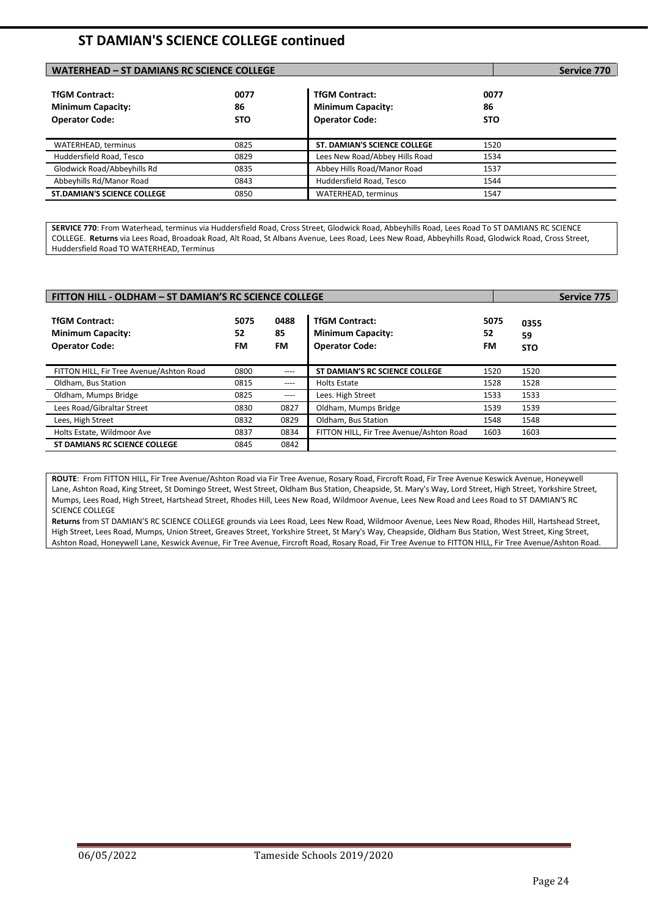# **ST DAMIAN'S SCIENCE COLLEGE continued**

| WATERHEAD - ST DAMIANS RC SCIENCE COLLEGE                                  |                          |                                                                            |                          | Service 770 |
|----------------------------------------------------------------------------|--------------------------|----------------------------------------------------------------------------|--------------------------|-------------|
| <b>TfGM Contract:</b><br><b>Minimum Capacity:</b><br><b>Operator Code:</b> | 0077<br>86<br><b>STO</b> | <b>TfGM Contract:</b><br><b>Minimum Capacity:</b><br><b>Operator Code:</b> | 0077<br>86<br><b>STO</b> |             |
| WATERHEAD, terminus                                                        | 0825                     | <b>ST. DAMIAN'S SCIENCE COLLEGE</b>                                        | 1520                     |             |
| Huddersfield Road, Tesco                                                   | 0829                     | Lees New Road/Abbey Hills Road                                             | 1534                     |             |
| Glodwick Road/Abbeyhills Rd                                                | 0835                     | Abbey Hills Road/Manor Road                                                | 1537                     |             |
| Abbeyhills Rd/Manor Road                                                   | 0843                     | Huddersfield Road, Tesco                                                   | 1544                     |             |
| <b>ST.DAMIAN'S SCIENCE COLLEGE</b>                                         | 0850                     | WATERHEAD, terminus                                                        | 1547                     |             |

**SERVICE 770**: From Waterhead, terminus via Huddersfield Road, Cross Street, Glodwick Road, Abbeyhills Road, Lees Road To ST DAMIANS RC SCIENCE COLLEGE. **Returns** via Lees Road, Broadoak Road, Alt Road, St Albans Avenue, Lees Road, Lees New Road, Abbeyhills Road, Glodwick Road, Cross Street, Huddersfield Road TO WATERHEAD, Terminus

| FITTON HILL - OLDHAM - ST DAMIAN'S RC SCIENCE COLLEGE                      |                  |                         |                                                                            |                  |                          |  |
|----------------------------------------------------------------------------|------------------|-------------------------|----------------------------------------------------------------------------|------------------|--------------------------|--|
| <b>TfGM Contract:</b><br><b>Minimum Capacity:</b><br><b>Operator Code:</b> | 5075<br>52<br>FM | 0488<br>85<br><b>FM</b> | <b>TfGM Contract:</b><br><b>Minimum Capacity:</b><br><b>Operator Code:</b> | 5075<br>52<br>FM | 0355<br>59<br><b>STO</b> |  |
| FITTON HILL, Fir Tree Avenue/Ashton Road                                   | 0800             | $---$                   | ST DAMIAN'S RC SCIENCE COLLEGE                                             | 1520             | 1520                     |  |
| Oldham, Bus Station                                                        | 0815             | $- - - -$               | <b>Holts Estate</b>                                                        | 1528             | 1528                     |  |
| Oldham, Mumps Bridge                                                       | 0825             | ----                    | Lees. High Street                                                          | 1533             | 1533                     |  |
| Lees Road/Gibraltar Street                                                 | 0830             | 0827                    | Oldham, Mumps Bridge                                                       | 1539             | 1539                     |  |
| Lees, High Street                                                          | 0832             | 0829                    | Oldham, Bus Station                                                        | 1548             | 1548                     |  |
| Holts Estate, Wildmoor Ave                                                 | 0837             | 0834                    | FITTON HILL, Fir Tree Avenue/Ashton Road                                   | 1603             | 1603                     |  |
| <b>ST DAMIANS RC SCIENCE COLLEGE</b>                                       | 0845             | 0842                    |                                                                            |                  |                          |  |

**ROUTE**: From FITTON HILL, Fir Tree Avenue/Ashton Road via Fir Tree Avenue, Rosary Road, Fircroft Road, Fir Tree Avenue Keswick Avenue, Honeywell Lane, Ashton Road, King Street, St Domingo Street, West Street, Oldham Bus Station, Cheapside, St. Mary's Way, Lord Street, High Street, Yorkshire Street, Mumps, Lees Road, High Street, Hartshead Street, Rhodes Hill, Lees New Road, Wildmoor Avenue, Lees New Road and Lees Road to ST DAMIAN'S RC SCIENCE COLLEGE

**Returns** from ST DAMIAN'S RC SCIENCE COLLEGE grounds via Lees Road, Lees New Road, Wildmoor Avenue, Lees New Road, Rhodes Hill, Hartshead Street, High Street, Lees Road, Mumps, Union Street, Greaves Street, Yorkshire Street, St Mary's Way, Cheapside, Oldham Bus Station, West Street, King Street, Ashton Road, Honeywell Lane, Keswick Avenue, Fir Tree Avenue, Fircroft Road, Rosary Road, Fir Tree Avenue to FITTON HILL, Fir Tree Avenue/Ashton Road.